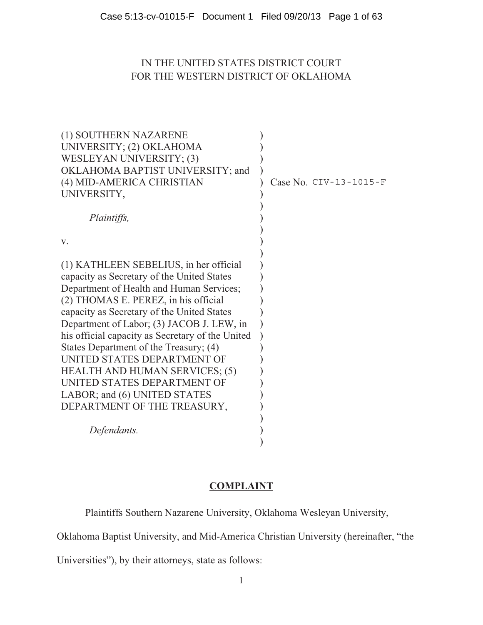## IN THE UNITED STATES DISTRICT COURT FOR THE WESTERN DISTRICT OF OKLAHOMA

| (1) SOUTHERN NAZARENE                            |                        |
|--------------------------------------------------|------------------------|
| UNIVERSITY; (2) OKLAHOMA                         |                        |
| WESLEYAN UNIVERSITY; (3)                         |                        |
| OKLAHOMA BAPTIST UNIVERSITY; and                 |                        |
| (4) MID-AMERICA CHRISTIAN                        | Case No. CIV-13-1015-F |
| UNIVERSITY,                                      |                        |
|                                                  |                        |
| Plaintiffs,                                      |                        |
|                                                  |                        |
| V.                                               |                        |
|                                                  |                        |
| (1) KATHLEEN SEBELIUS, in her official           |                        |
| capacity as Secretary of the United States       |                        |
| Department of Health and Human Services;         |                        |
| (2) THOMAS E. PEREZ, in his official             |                        |
| capacity as Secretary of the United States       |                        |
| Department of Labor; (3) JACOB J. LEW, in        |                        |
| his official capacity as Secretary of the United |                        |
| States Department of the Treasury; (4)           |                        |
| UNITED STATES DEPARTMENT OF                      |                        |
| <b>HEALTH AND HUMAN SERVICES; (5)</b>            |                        |
| UNITED STATES DEPARTMENT OF                      |                        |
| LABOR; and (6) UNITED STATES                     |                        |
| DEPARTMENT OF THE TREASURY,                      |                        |
|                                                  |                        |
| Defendants.                                      |                        |
|                                                  |                        |

## **COMPLAINT**

Plaintiffs Southern Nazarene University, Oklahoma Wesleyan University,

Oklahoma Baptist University, and Mid-America Christian University (hereinafter, "the

Universities"), by their attorneys, state as follows: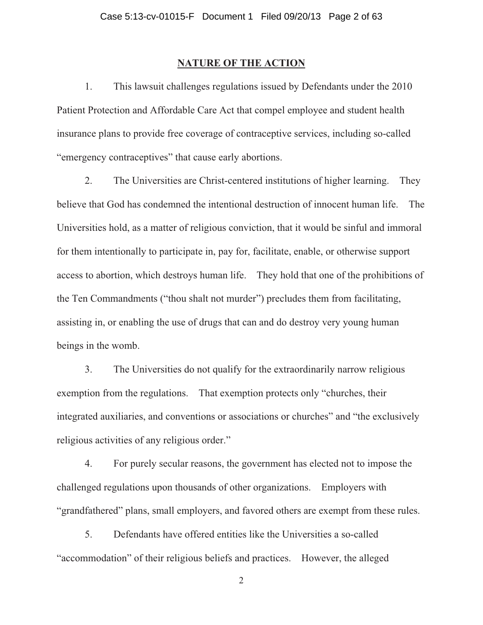#### **NATURE OF THE ACTION**

1. This lawsuit challenges regulations issued by Defendants under the 2010 Patient Protection and Affordable Care Act that compel employee and student health insurance plans to provide free coverage of contraceptive services, including so-called "emergency contraceptives" that cause early abortions.

2. The Universities are Christ-centered institutions of higher learning. They believe that God has condemned the intentional destruction of innocent human life. The Universities hold, as a matter of religious conviction, that it would be sinful and immoral for them intentionally to participate in, pay for, facilitate, enable, or otherwise support access to abortion, which destroys human life. They hold that one of the prohibitions of the Ten Commandments ("thou shalt not murder") precludes them from facilitating, assisting in, or enabling the use of drugs that can and do destroy very young human beings in the womb.

3. The Universities do not qualify for the extraordinarily narrow religious exemption from the regulations. That exemption protects only "churches, their integrated auxiliaries, and conventions or associations or churches" and "the exclusively religious activities of any religious order."

4. For purely secular reasons, the government has elected not to impose the challenged regulations upon thousands of other organizations. Employers with "grandfathered" plans, small employers, and favored others are exempt from these rules.

5. Defendants have offered entities like the Universities a so-called "accommodation" of their religious beliefs and practices. However, the alleged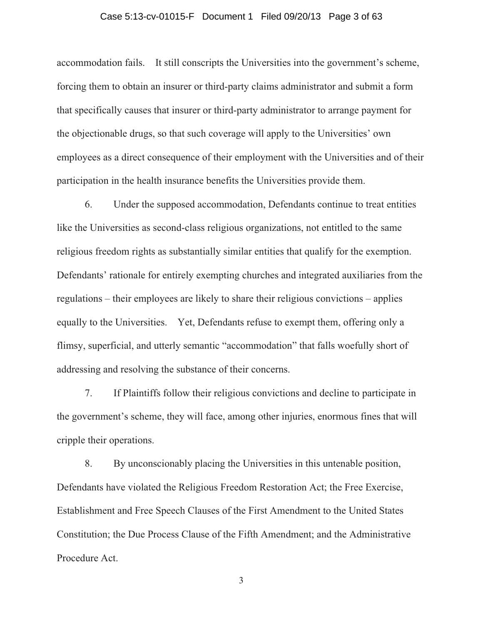## Case 5:13-cv-01015-F Document 1 Filed 09/20/13 Page 3 of 63

accommodation fails. It still conscripts the Universities into the government's scheme, forcing them to obtain an insurer or third-party claims administrator and submit a form that specifically causes that insurer or third-party administrator to arrange payment for the objectionable drugs, so that such coverage will apply to the Universities' own employees as a direct consequence of their employment with the Universities and of their participation in the health insurance benefits the Universities provide them.

6. Under the supposed accommodation, Defendants continue to treat entities like the Universities as second-class religious organizations, not entitled to the same religious freedom rights as substantially similar entities that qualify for the exemption. Defendants' rationale for entirely exempting churches and integrated auxiliaries from the regulations – their employees are likely to share their religious convictions – applies equally to the Universities. Yet, Defendants refuse to exempt them, offering only a flimsy, superficial, and utterly semantic "accommodation" that falls woefully short of addressing and resolving the substance of their concerns.

7. If Plaintiffs follow their religious convictions and decline to participate in the government's scheme, they will face, among other injuries, enormous fines that will cripple their operations.

8. By unconscionably placing the Universities in this untenable position, Defendants have violated the Religious Freedom Restoration Act; the Free Exercise, Establishment and Free Speech Clauses of the First Amendment to the United States Constitution; the Due Process Clause of the Fifth Amendment; and the Administrative Procedure Act.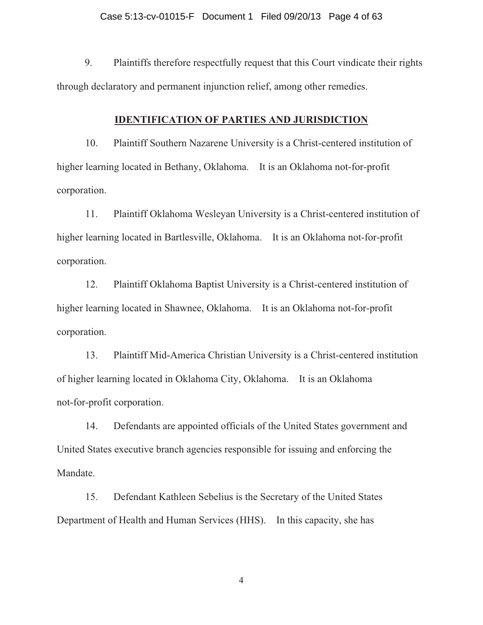#### Case 5:13-cv-01015-F Document 1 Filed 09/20/13 Page 4 of 63

9. Plaintiffs therefore respectfully request that this Court vindicate their rights through declaratory and permanent injunction relief, among other remedies.

#### **IDENTIFICATION OF PARTIES AND JURISDICTION**

10. Plaintiff Southern Nazarene University is a Christ-centered institution of higher learning located in Bethany, Oklahoma. It is an Oklahoma not-for-profit corporation.

11. Plaintiff Oklahoma Wesleyan University is a Christ-centered institution of higher learning located in Bartlesville, Oklahoma. It is an Oklahoma not-for-profit corporation.

12. Plaintiff Oklahoma Baptist University is a Christ-centered institution of higher learning located in Shawnee, Oklahoma. It is an Oklahoma not-for-profit corporation.

13. Plaintiff Mid-America Christian University is a Christ-centered institution of higher learning located in Oklahoma City, Oklahoma. It is an Oklahoma not-for-profit corporation.

14. Defendants are appointed officials of the United States government and United States executive branch agencies responsible for issuing and enforcing the Mandate.

15. Defendant Kathleen Sebelius is the Secretary of the United States Department of Health and Human Services (HHS). In this capacity, she has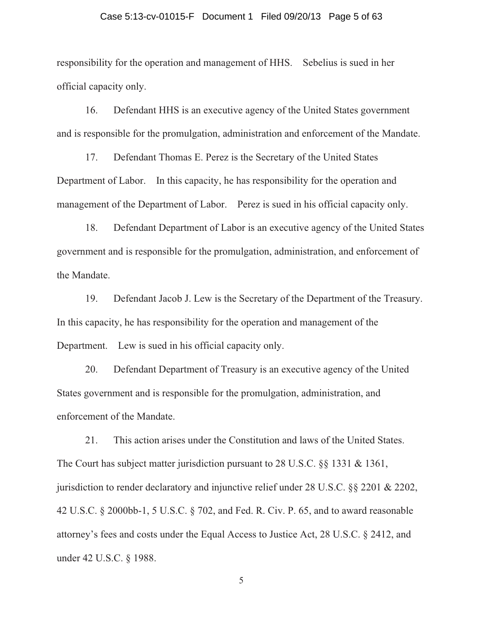#### Case 5:13-cv-01015-F Document 1 Filed 09/20/13 Page 5 of 63

responsibility for the operation and management of HHS. Sebelius is sued in her official capacity only.

16. Defendant HHS is an executive agency of the United States government and is responsible for the promulgation, administration and enforcement of the Mandate.

17. Defendant Thomas E. Perez is the Secretary of the United States Department of Labor. In this capacity, he has responsibility for the operation and management of the Department of Labor. Perez is sued in his official capacity only.

18. Defendant Department of Labor is an executive agency of the United States government and is responsible for the promulgation, administration, and enforcement of the Mandate.

19. Defendant Jacob J. Lew is the Secretary of the Department of the Treasury. In this capacity, he has responsibility for the operation and management of the Department. Lew is sued in his official capacity only.

20. Defendant Department of Treasury is an executive agency of the United States government and is responsible for the promulgation, administration, and enforcement of the Mandate.

21. This action arises under the Constitution and laws of the United States. The Court has subject matter jurisdiction pursuant to 28 U.S.C. §§ 1331 & 1361, jurisdiction to render declaratory and injunctive relief under 28 U.S.C. §§ 2201 & 2202, 42 U.S.C. § 2000bb-1, 5 U.S.C. § 702, and Fed. R. Civ. P. 65, and to award reasonable attorney's fees and costs under the Equal Access to Justice Act, 28 U.S.C. § 2412, and under 42 U.S.C. § 1988.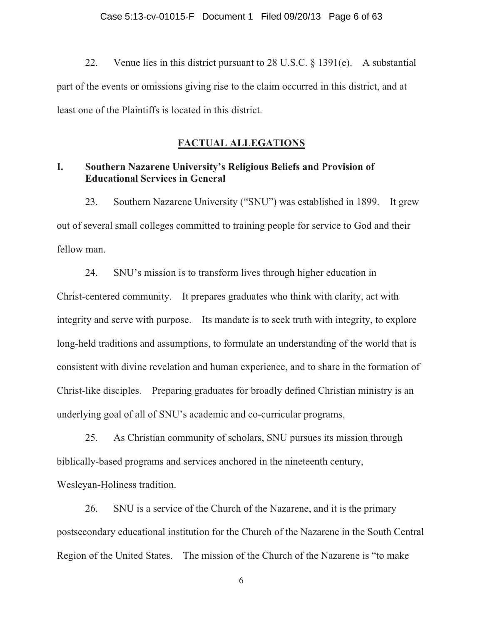22. Venue lies in this district pursuant to 28 U.S.C. § 1391(e). A substantial part of the events or omissions giving rise to the claim occurred in this district, and at least one of the Plaintiffs is located in this district.

## **FACTUAL ALLEGATIONS**

## **I. Southern Nazarene University's Religious Beliefs and Provision of Educational Services in General**

23. Southern Nazarene University ("SNU") was established in 1899. It grew out of several small colleges committed to training people for service to God and their fellow man.

24. SNU's mission is to transform lives through higher education in Christ-centered community. It prepares graduates who think with clarity, act with integrity and serve with purpose. Its mandate is to seek truth with integrity, to explore long-held traditions and assumptions, to formulate an understanding of the world that is consistent with divine revelation and human experience, and to share in the formation of Christ-like disciples. Preparing graduates for broadly defined Christian ministry is an underlying goal of all of SNU's academic and co-curricular programs.

25. As Christian community of scholars, SNU pursues its mission through biblically-based programs and services anchored in the nineteenth century, Wesleyan-Holiness tradition.

26. SNU is a service of the Church of the Nazarene, and it is the primary postsecondary educational institution for the Church of the Nazarene in the South Central Region of the United States. The mission of the Church of the Nazarene is "to make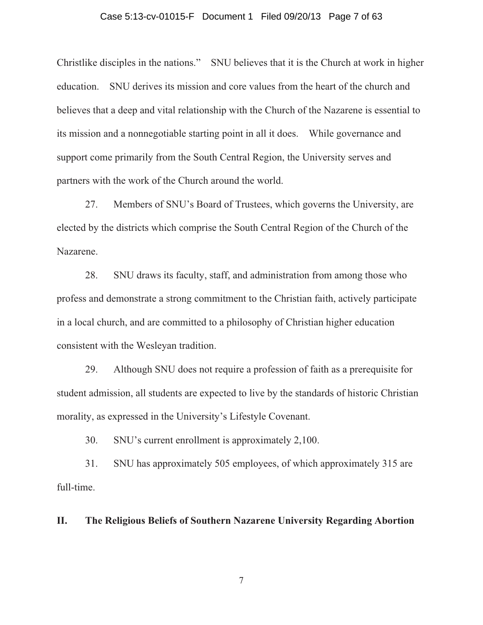#### Case 5:13-cv-01015-F Document 1 Filed 09/20/13 Page 7 of 63

Christlike disciples in the nations." SNU believes that it is the Church at work in higher education. SNU derives its mission and core values from the heart of the church and believes that a deep and vital relationship with the Church of the Nazarene is essential to its mission and a nonnegotiable starting point in all it does. While governance and support come primarily from the South Central Region, the University serves and partners with the work of the Church around the world.

27. Members of SNU's Board of Trustees, which governs the University, are elected by the districts which comprise the South Central Region of the Church of the Nazarene.

28. SNU draws its faculty, staff, and administration from among those who profess and demonstrate a strong commitment to the Christian faith, actively participate in a local church, and are committed to a philosophy of Christian higher education consistent with the Wesleyan tradition.

29. Although SNU does not require a profession of faith as a prerequisite for student admission, all students are expected to live by the standards of historic Christian morality, as expressed in the University's Lifestyle Covenant.

30. SNU's current enrollment is approximately 2,100.

31. SNU has approximately 505 employees, of which approximately 315 are full-time.

**II. The Religious Beliefs of Southern Nazarene University Regarding Abortion**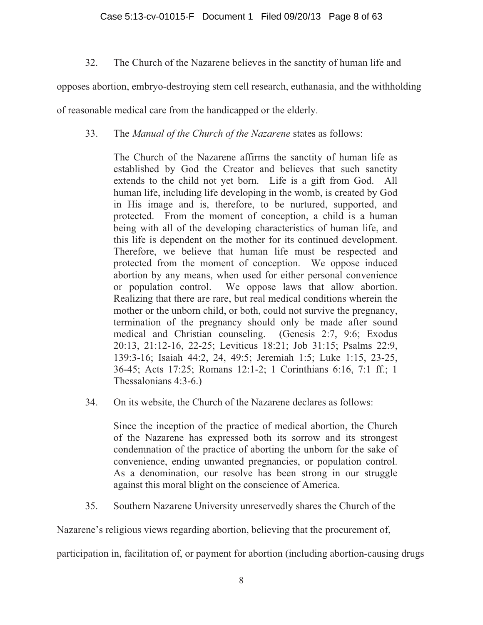32. The Church of the Nazarene believes in the sanctity of human life and

opposes abortion, embryo-destroying stem cell research, euthanasia, and the withholding

of reasonable medical care from the handicapped or the elderly.

## 33. The *Manual of the Church of the Nazarene* states as follows:

The Church of the Nazarene affirms the sanctity of human life as established by God the Creator and believes that such sanctity extends to the child not yet born. Life is a gift from God. All human life, including life developing in the womb, is created by God in His image and is, therefore, to be nurtured, supported, and protected. From the moment of conception, a child is a human being with all of the developing characteristics of human life, and this life is dependent on the mother for its continued development. Therefore, we believe that human life must be respected and protected from the moment of conception. We oppose induced abortion by any means, when used for either personal convenience or population control. We oppose laws that allow abortion. Realizing that there are rare, but real medical conditions wherein the mother or the unborn child, or both, could not survive the pregnancy, termination of the pregnancy should only be made after sound medical and Christian counseling. (Genesis 2:7, 9:6; Exodus 20:13, 21:12-16, 22-25; Leviticus 18:21; Job 31:15; Psalms 22:9, 139:3-16; Isaiah 44:2, 24, 49:5; Jeremiah 1:5; Luke 1:15, 23-25, 36-45; Acts 17:25; Romans 12:1-2; 1 Corinthians 6:16, 7:1 ff.; 1 Thessalonians 4:3-6.)

34. On its website, the Church of the Nazarene declares as follows:

Since the inception of the practice of medical abortion, the Church of the Nazarene has expressed both its sorrow and its strongest condemnation of the practice of aborting the unborn for the sake of convenience, ending unwanted pregnancies, or population control. As a denomination, our resolve has been strong in our struggle against this moral blight on the conscience of America.

35. Southern Nazarene University unreservedly shares the Church of the

Nazarene's religious views regarding abortion, believing that the procurement of,

participation in, facilitation of, or payment for abortion (including abortion-causing drugs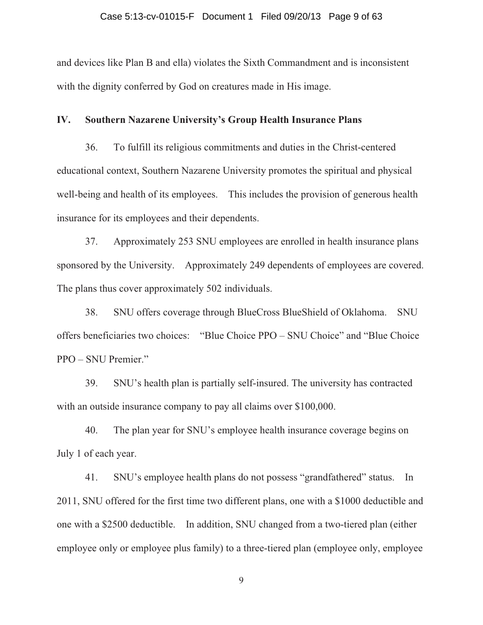#### Case 5:13-cv-01015-F Document 1 Filed 09/20/13 Page 9 of 63

and devices like Plan B and ella) violates the Sixth Commandment and is inconsistent with the dignity conferred by God on creatures made in His image.

#### **IV. Southern Nazarene University's Group Health Insurance Plans**

36. To fulfill its religious commitments and duties in the Christ-centered educational context, Southern Nazarene University promotes the spiritual and physical well-being and health of its employees. This includes the provision of generous health insurance for its employees and their dependents.

37. Approximately 253 SNU employees are enrolled in health insurance plans sponsored by the University. Approximately 249 dependents of employees are covered. The plans thus cover approximately 502 individuals.

38. SNU offers coverage through BlueCross BlueShield of Oklahoma. SNU offers beneficiaries two choices: "Blue Choice PPO – SNU Choice" and "Blue Choice PPO – SNU Premier."

39. SNU's health plan is partially self-insured. The university has contracted with an outside insurance company to pay all claims over \$100,000.

40. The plan year for SNU's employee health insurance coverage begins on July 1 of each year.

41. SNU's employee health plans do not possess "grandfathered" status. In 2011, SNU offered for the first time two different plans, one with a \$1000 deductible and one with a \$2500 deductible. In addition, SNU changed from a two-tiered plan (either employee only or employee plus family) to a three-tiered plan (employee only, employee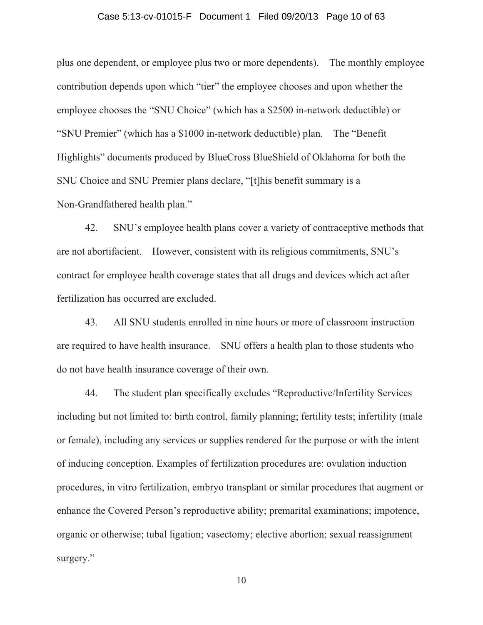## Case 5:13-cv-01015-F Document 1 Filed 09/20/13 Page 10 of 63

plus one dependent, or employee plus two or more dependents). The monthly employee contribution depends upon which "tier" the employee chooses and upon whether the employee chooses the "SNU Choice" (which has a \$2500 in-network deductible) or "SNU Premier" (which has a \$1000 in-network deductible) plan. The "Benefit Highlights" documents produced by BlueCross BlueShield of Oklahoma for both the SNU Choice and SNU Premier plans declare, "[t]his benefit summary is a Non-Grandfathered health plan."

42. SNU's employee health plans cover a variety of contraceptive methods that are not abortifacient. However, consistent with its religious commitments, SNU's contract for employee health coverage states that all drugs and devices which act after fertilization has occurred are excluded.

43. All SNU students enrolled in nine hours or more of classroom instruction are required to have health insurance. SNU offers a health plan to those students who do not have health insurance coverage of their own.

44. The student plan specifically excludes "Reproductive/Infertility Services including but not limited to: birth control, family planning; fertility tests; infertility (male or female), including any services or supplies rendered for the purpose or with the intent of inducing conception. Examples of fertilization procedures are: ovulation induction procedures, in vitro fertilization, embryo transplant or similar procedures that augment or enhance the Covered Person's reproductive ability; premarital examinations; impotence, organic or otherwise; tubal ligation; vasectomy; elective abortion; sexual reassignment surgery."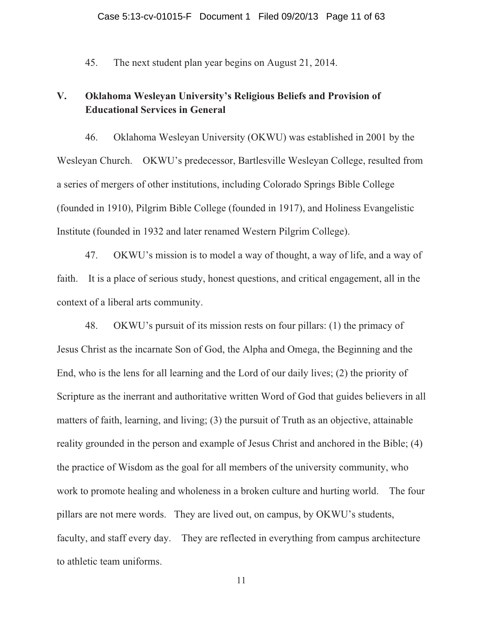45. The next student plan year begins on August 21, 2014.

## **V. Oklahoma Wesleyan University's Religious Beliefs and Provision of Educational Services in General**

46. Oklahoma Wesleyan University (OKWU) was established in 2001 by the Wesleyan Church. OKWU's predecessor, Bartlesville Wesleyan College, resulted from a series of mergers of other institutions, including Colorado Springs Bible College (founded in 1910), Pilgrim Bible College (founded in 1917), and Holiness Evangelistic Institute (founded in 1932 and later renamed Western Pilgrim College).

47. OKWU's mission is to model a way of thought, a way of life, and a way of faith. It is a place of serious study, honest questions, and critical engagement, all in the context of a liberal arts community.

48. OKWU's pursuit of its mission rests on four pillars: (1) the primacy of Jesus Christ as the incarnate Son of God, the Alpha and Omega, the Beginning and the End, who is the lens for all learning and the Lord of our daily lives; (2) the priority of Scripture as the inerrant and authoritative written Word of God that guides believers in all matters of faith, learning, and living; (3) the pursuit of Truth as an objective, attainable reality grounded in the person and example of Jesus Christ and anchored in the Bible; (4) the practice of Wisdom as the goal for all members of the university community, who work to promote healing and wholeness in a broken culture and hurting world. The four pillars are not mere words. They are lived out, on campus, by OKWU's students, faculty, and staff every day. They are reflected in everything from campus architecture to athletic team uniforms.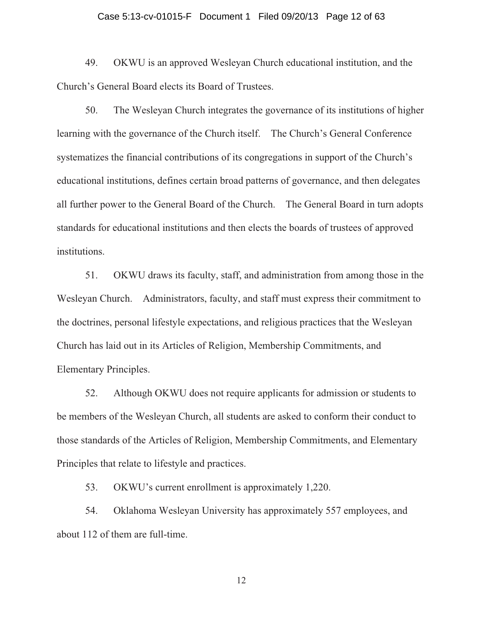## Case 5:13-cv-01015-F Document 1 Filed 09/20/13 Page 12 of 63

49. OKWU is an approved Wesleyan Church educational institution, and the Church's General Board elects its Board of Trustees.

50. The Wesleyan Church integrates the governance of its institutions of higher learning with the governance of the Church itself. The Church's General Conference systematizes the financial contributions of its congregations in support of the Church's educational institutions, defines certain broad patterns of governance, and then delegates all further power to the General Board of the Church. The General Board in turn adopts standards for educational institutions and then elects the boards of trustees of approved institutions.

51. OKWU draws its faculty, staff, and administration from among those in the Wesleyan Church. Administrators, faculty, and staff must express their commitment to the doctrines, personal lifestyle expectations, and religious practices that the Wesleyan Church has laid out in its Articles of Religion, Membership Commitments, and Elementary Principles.

52. Although OKWU does not require applicants for admission or students to be members of the Wesleyan Church, all students are asked to conform their conduct to those standards of the Articles of Religion, Membership Commitments, and Elementary Principles that relate to lifestyle and practices.

53. OKWU's current enrollment is approximately 1,220.

54. Oklahoma Wesleyan University has approximately 557 employees, and about 112 of them are full-time.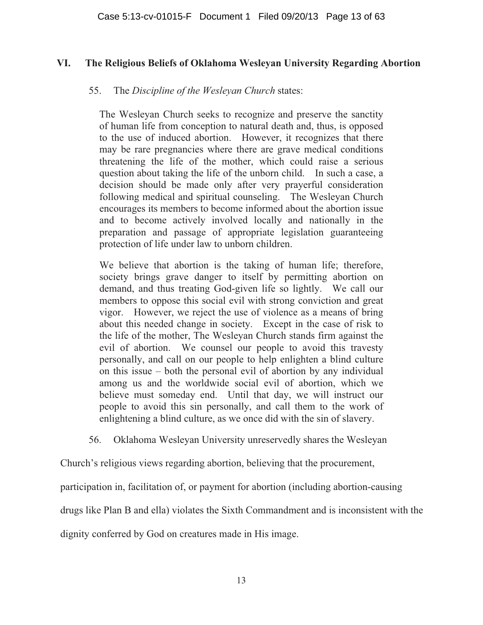## **VI. The Religious Beliefs of Oklahoma Wesleyan University Regarding Abortion**

## 55. The *Discipline of the Wesleyan Church* states:

The Wesleyan Church seeks to recognize and preserve the sanctity of human life from conception to natural death and, thus, is opposed to the use of induced abortion. However, it recognizes that there may be rare pregnancies where there are grave medical conditions threatening the life of the mother, which could raise a serious question about taking the life of the unborn child. In such a case, a decision should be made only after very prayerful consideration following medical and spiritual counseling. The Wesleyan Church encourages its members to become informed about the abortion issue and to become actively involved locally and nationally in the preparation and passage of appropriate legislation guaranteeing protection of life under law to unborn children.

We believe that abortion is the taking of human life; therefore, society brings grave danger to itself by permitting abortion on demand, and thus treating God-given life so lightly. We call our members to oppose this social evil with strong conviction and great vigor. However, we reject the use of violence as a means of bring about this needed change in society. Except in the case of risk to the life of the mother, The Wesleyan Church stands firm against the evil of abortion. We counsel our people to avoid this travesty personally, and call on our people to help enlighten a blind culture on this issue – both the personal evil of abortion by any individual among us and the worldwide social evil of abortion, which we believe must someday end. Until that day, we will instruct our people to avoid this sin personally, and call them to the work of enlightening a blind culture, as we once did with the sin of slavery.

56. Oklahoma Wesleyan University unreservedly shares the Wesleyan

Church's religious views regarding abortion, believing that the procurement,

participation in, facilitation of, or payment for abortion (including abortion-causing

drugs like Plan B and ella) violates the Sixth Commandment and is inconsistent with the

dignity conferred by God on creatures made in His image.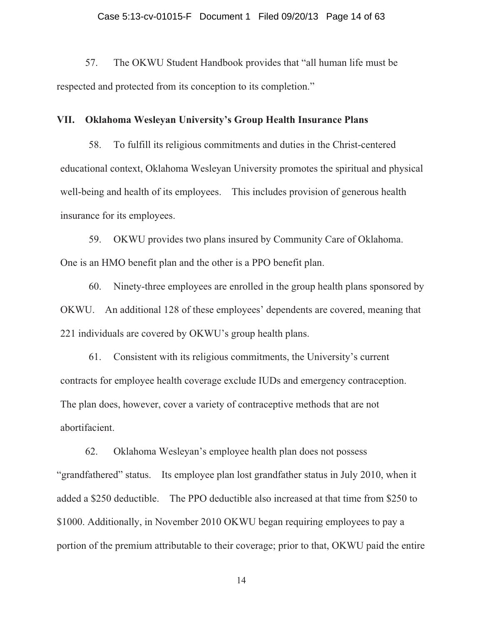57. The OKWU Student Handbook provides that "all human life must be respected and protected from its conception to its completion."

#### **VII. Oklahoma Wesleyan University's Group Health Insurance Plans**

58. To fulfill its religious commitments and duties in the Christ-centered educational context, Oklahoma Wesleyan University promotes the spiritual and physical well-being and health of its employees. This includes provision of generous health insurance for its employees.

59. OKWU provides two plans insured by Community Care of Oklahoma. One is an HMO benefit plan and the other is a PPO benefit plan.

60. Ninety-three employees are enrolled in the group health plans sponsored by OKWU. An additional 128 of these employees' dependents are covered, meaning that 221 individuals are covered by OKWU's group health plans.

61. Consistent with its religious commitments, the University's current contracts for employee health coverage exclude IUDs and emergency contraception. The plan does, however, cover a variety of contraceptive methods that are not abortifacient.

62. Oklahoma Wesleyan's employee health plan does not possess "grandfathered" status. Its employee plan lost grandfather status in July 2010, when it added a \$250 deductible. The PPO deductible also increased at that time from \$250 to \$1000. Additionally, in November 2010 OKWU began requiring employees to pay a portion of the premium attributable to their coverage; prior to that, OKWU paid the entire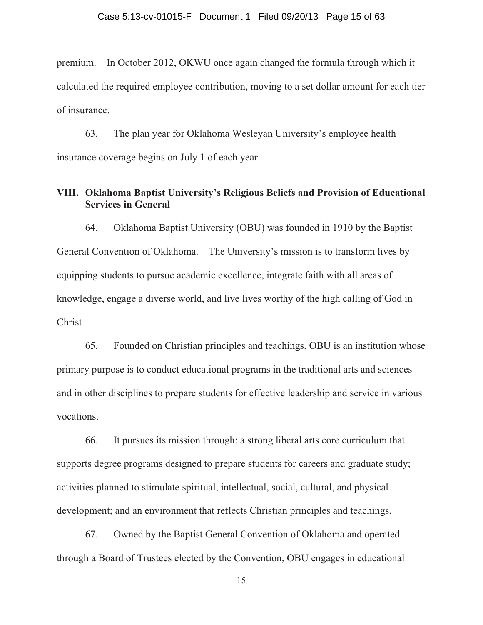premium. In October 2012, OKWU once again changed the formula through which it calculated the required employee contribution, moving to a set dollar amount for each tier of insurance.

63. The plan year for Oklahoma Wesleyan University's employee health insurance coverage begins on July 1 of each year.

## **VIII. Oklahoma Baptist University's Religious Beliefs and Provision of Educational Services in General**

64. Oklahoma Baptist University (OBU) was founded in 1910 by the Baptist General Convention of Oklahoma. The University's mission is to transform lives by equipping students to pursue academic excellence, integrate faith with all areas of knowledge, engage a diverse world, and live lives worthy of the high calling of God in Christ.

65. Founded on Christian principles and teachings, OBU is an institution whose primary purpose is to conduct educational programs in the traditional arts and sciences and in other disciplines to prepare students for effective leadership and service in various vocations.

66. It pursues its mission through: a strong liberal arts core curriculum that supports degree programs designed to prepare students for careers and graduate study; activities planned to stimulate spiritual, intellectual, social, cultural, and physical development; and an environment that reflects Christian principles and teachings.

67. Owned by the Baptist General Convention of Oklahoma and operated through a Board of Trustees elected by the Convention, OBU engages in educational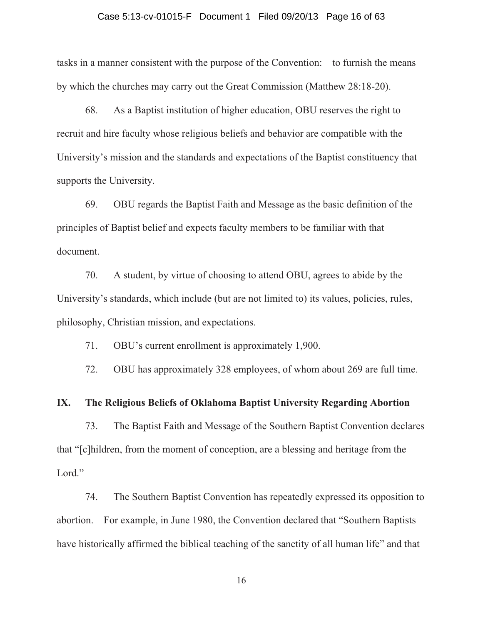## Case 5:13-cv-01015-F Document 1 Filed 09/20/13 Page 16 of 63

tasks in a manner consistent with the purpose of the Convention: to furnish the means by which the churches may carry out the Great Commission (Matthew 28:18-20).

68. As a Baptist institution of higher education, OBU reserves the right to recruit and hire faculty whose religious beliefs and behavior are compatible with the University's mission and the standards and expectations of the Baptist constituency that supports the University.

69. OBU regards the Baptist Faith and Message as the basic definition of the principles of Baptist belief and expects faculty members to be familiar with that document.

70. A student, by virtue of choosing to attend OBU, agrees to abide by the University's standards, which include (but are not limited to) its values, policies, rules, philosophy, Christian mission, and expectations.

71. OBU's current enrollment is approximately 1,900.

72. OBU has approximately 328 employees, of whom about 269 are full time.

#### **IX. The Religious Beliefs of Oklahoma Baptist University Regarding Abortion**

73. The Baptist Faith and Message of the Southern Baptist Convention declares that "[c]hildren, from the moment of conception, are a blessing and heritage from the Lord."

74. The Southern Baptist Convention has repeatedly expressed its opposition to abortion. For example, in June 1980, the Convention declared that "Southern Baptists have historically affirmed the biblical teaching of the sanctity of all human life" and that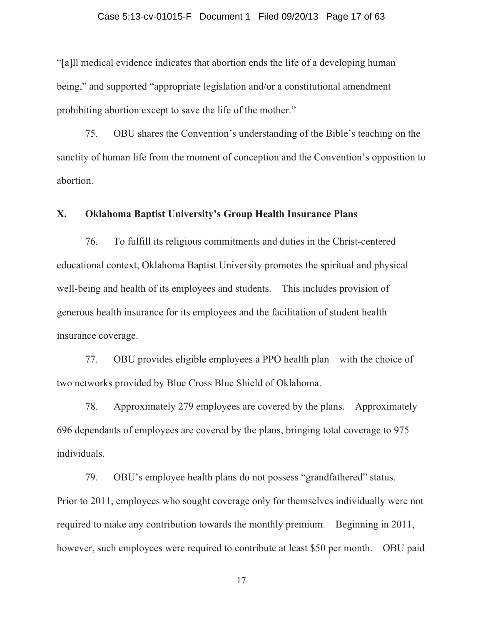## Case 5:13-cv-01015-F Document 1 Filed 09/20/13 Page 17 of 63

"[a]ll medical evidence indicates that abortion ends the life of a developing human being," and supported "appropriate legislation and/or a constitutional amendment prohibiting abortion except to save the life of the mother."

75. OBU shares the Convention's understanding of the Bible's teaching on the sanctity of human life from the moment of conception and the Convention's opposition to abortion.

## **X. Oklahoma Baptist University's Group Health Insurance Plans**

76. To fulfill its religious commitments and duties in the Christ-centered educational context, Oklahoma Baptist University promotes the spiritual and physical well-being and health of its employees and students. This includes provision of generous health insurance for its employees and the facilitation of student health insurance coverage.

77. OBU provides eligible employees a PPO health plan with the choice of two networks provided by Blue Cross Blue Shield of Oklahoma.

78. Approximately 279 employees are covered by the plans. Approximately 696 dependants of employees are covered by the plans, bringing total coverage to 975 individuals.

79. OBU's employee health plans do not possess "grandfathered" status. Prior to 2011, employees who sought coverage only for themselves individually were not required to make any contribution towards the monthly premium. Beginning in 2011, however, such employees were required to contribute at least \$50 per month. OBU paid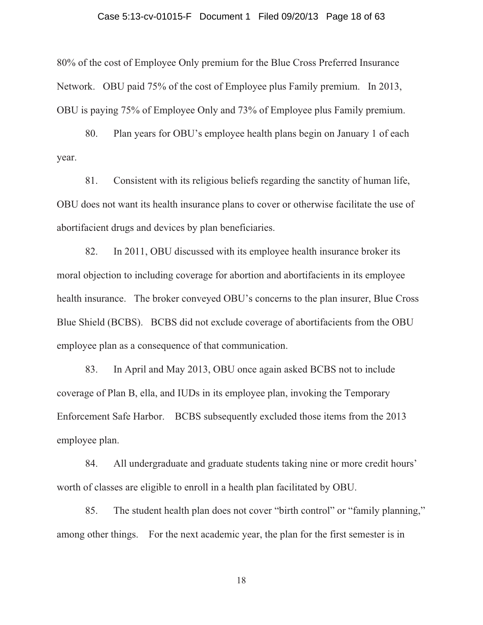#### Case 5:13-cv-01015-F Document 1 Filed 09/20/13 Page 18 of 63

80% of the cost of Employee Only premium for the Blue Cross Preferred Insurance Network. OBU paid 75% of the cost of Employee plus Family premium. In 2013, OBU is paying 75% of Employee Only and 73% of Employee plus Family premium.

80. Plan years for OBU's employee health plans begin on January 1 of each year.

81. Consistent with its religious beliefs regarding the sanctity of human life, OBU does not want its health insurance plans to cover or otherwise facilitate the use of abortifacient drugs and devices by plan beneficiaries.

82. In 2011, OBU discussed with its employee health insurance broker its moral objection to including coverage for abortion and abortifacients in its employee health insurance. The broker conveyed OBU's concerns to the plan insurer, Blue Cross Blue Shield (BCBS). BCBS did not exclude coverage of abortifacients from the OBU employee plan as a consequence of that communication.

83. In April and May 2013, OBU once again asked BCBS not to include coverage of Plan B, ella, and IUDs in its employee plan, invoking the Temporary Enforcement Safe Harbor. BCBS subsequently excluded those items from the 2013 employee plan.

84. All undergraduate and graduate students taking nine or more credit hours' worth of classes are eligible to enroll in a health plan facilitated by OBU.

85. The student health plan does not cover "birth control" or "family planning," among other things. For the next academic year, the plan for the first semester is in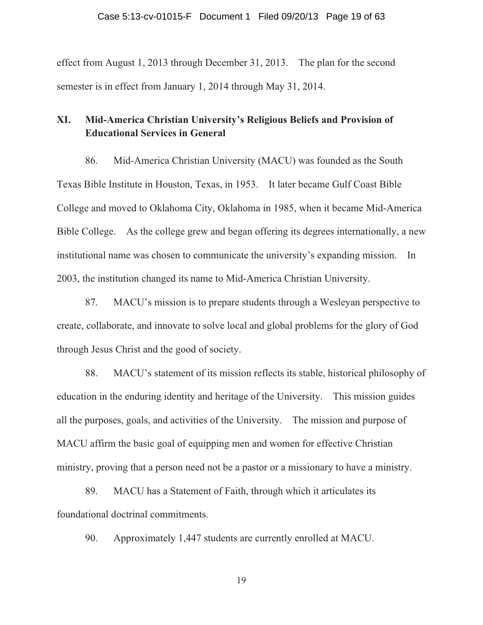effect from August 1, 2013 through December 31, 2013. The plan for the second semester is in effect from January 1, 2014 through May 31, 2014.

## **XI. Mid-America Christian University's Religious Beliefs and Provision of Educational Services in General**

86. Mid-America Christian University (MACU) was founded as the South Texas Bible Institute in Houston, Texas, in 1953. It later became Gulf Coast Bible College and moved to Oklahoma City, Oklahoma in 1985, when it became Mid-America Bible College. As the college grew and began offering its degrees internationally, a new institutional name was chosen to communicate the university's expanding mission. In 2003, the institution changed its name to Mid-America Christian University.

87. MACU's mission is to prepare students through a Wesleyan perspective to create, collaborate, and innovate to solve local and global problems for the glory of God through Jesus Christ and the good of society.

88. MACU's statement of its mission reflects its stable, historical philosophy of education in the enduring identity and heritage of the University. This mission guides all the purposes, goals, and activities of the University. The mission and purpose of MACU affirm the basic goal of equipping men and women for effective Christian ministry, proving that a person need not be a pastor or a missionary to have a ministry.

89. MACU has a Statement of Faith, through which it articulates its foundational doctrinal commitments.

90. Approximately 1,447 students are currently enrolled at MACU.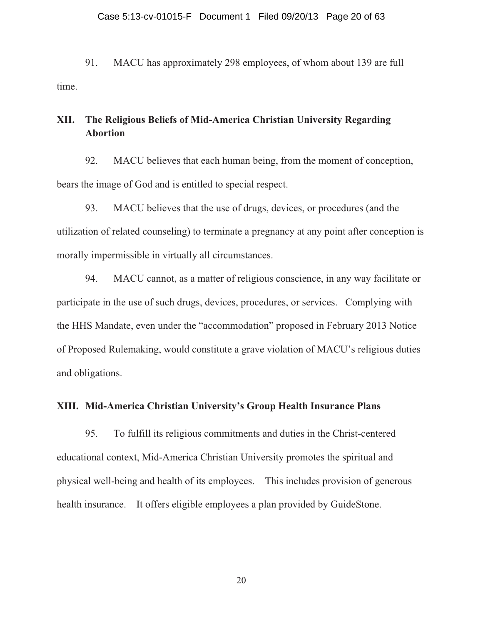## Case 5:13-cv-01015-F Document 1 Filed 09/20/13 Page 20 of 63

91. MACU has approximately 298 employees, of whom about 139 are full time.

## **XII. The Religious Beliefs of Mid-America Christian University Regarding Abortion**

92. MACU believes that each human being, from the moment of conception, bears the image of God and is entitled to special respect.

93. MACU believes that the use of drugs, devices, or procedures (and the utilization of related counseling) to terminate a pregnancy at any point after conception is morally impermissible in virtually all circumstances.

94. MACU cannot, as a matter of religious conscience, in any way facilitate or participate in the use of such drugs, devices, procedures, or services. Complying with the HHS Mandate, even under the "accommodation" proposed in February 2013 Notice of Proposed Rulemaking, would constitute a grave violation of MACU's religious duties and obligations.

## **XIII. Mid-America Christian University's Group Health Insurance Plans**

95. To fulfill its religious commitments and duties in the Christ-centered educational context, Mid-America Christian University promotes the spiritual and physical well-being and health of its employees. This includes provision of generous health insurance. It offers eligible employees a plan provided by GuideStone.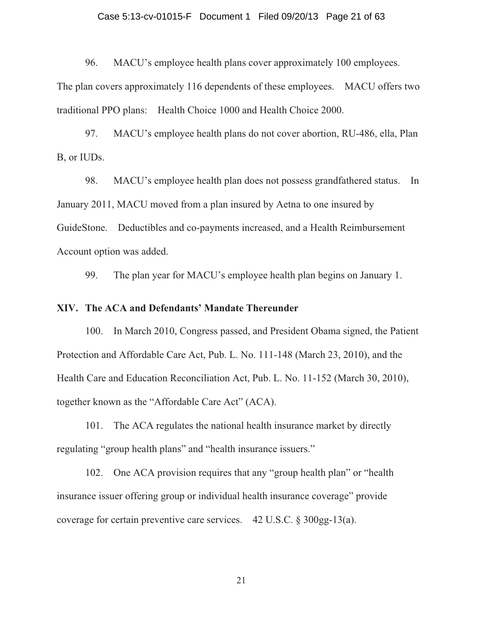## Case 5:13-cv-01015-F Document 1 Filed 09/20/13 Page 21 of 63

96. MACU's employee health plans cover approximately 100 employees.

The plan covers approximately 116 dependents of these employees. MACU offers two traditional PPO plans: Health Choice 1000 and Health Choice 2000.

97. MACU's employee health plans do not cover abortion, RU-486, ella, Plan B, or IUDs.

98. MACU's employee health plan does not possess grandfathered status. In January 2011, MACU moved from a plan insured by Aetna to one insured by GuideStone. Deductibles and co-payments increased, and a Health Reimbursement Account option was added.

99. The plan year for MACU's employee health plan begins on January 1.

#### **XIV. The ACA and Defendants' Mandate Thereunder**

100. In March 2010, Congress passed, and President Obama signed, the Patient Protection and Affordable Care Act, Pub. L. No. 111-148 (March 23, 2010), and the Health Care and Education Reconciliation Act, Pub. L. No. 11-152 (March 30, 2010), together known as the "Affordable Care Act" (ACA).

101. The ACA regulates the national health insurance market by directly regulating "group health plans" and "health insurance issuers."

102. One ACA provision requires that any "group health plan" or "health insurance issuer offering group or individual health insurance coverage" provide coverage for certain preventive care services. 42 U.S.C. § 300gg-13(a).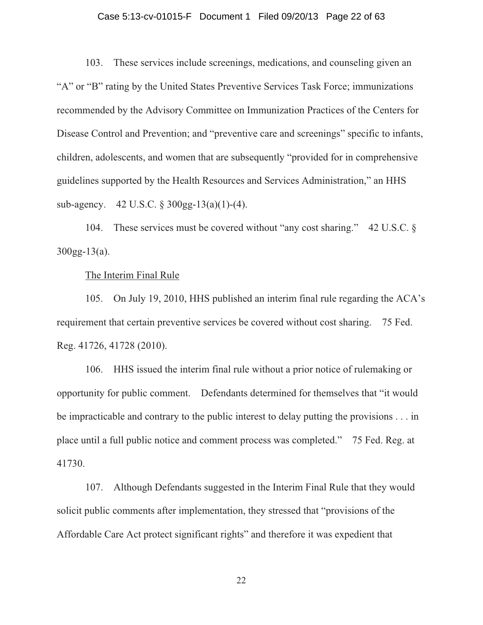## Case 5:13-cv-01015-F Document 1 Filed 09/20/13 Page 22 of 63

103. These services include screenings, medications, and counseling given an "A" or "B" rating by the United States Preventive Services Task Force; immunizations recommended by the Advisory Committee on Immunization Practices of the Centers for Disease Control and Prevention; and "preventive care and screenings" specific to infants, children, adolescents, and women that are subsequently "provided for in comprehensive guidelines supported by the Health Resources and Services Administration," an HHS sub-agency. 42 U.S.C. § 300gg-13(a)(1)-(4).

104. These services must be covered without "any cost sharing." 42 U.S.C. § 300gg-13(a).

#### The Interim Final Rule

105. On July 19, 2010, HHS published an interim final rule regarding the ACA's requirement that certain preventive services be covered without cost sharing. 75 Fed. Reg. 41726, 41728 (2010).

106. HHS issued the interim final rule without a prior notice of rulemaking or opportunity for public comment. Defendants determined for themselves that "it would be impracticable and contrary to the public interest to delay putting the provisions . . . in place until a full public notice and comment process was completed." 75 Fed. Reg. at 41730.

107. Although Defendants suggested in the Interim Final Rule that they would solicit public comments after implementation, they stressed that "provisions of the Affordable Care Act protect significant rights" and therefore it was expedient that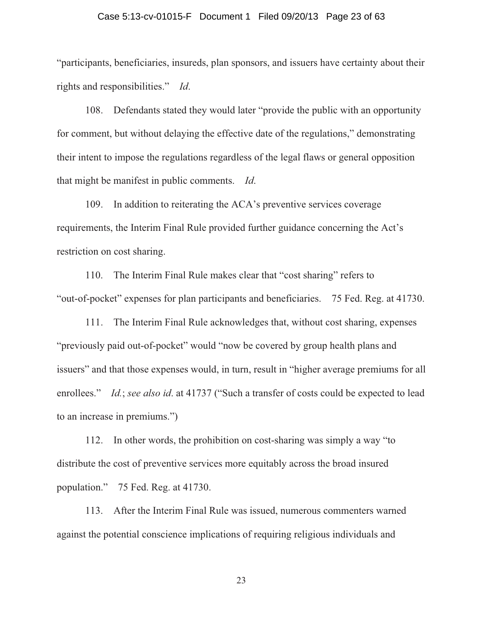## Case 5:13-cv-01015-F Document 1 Filed 09/20/13 Page 23 of 63

"participants, beneficiaries, insureds, plan sponsors, and issuers have certainty about their rights and responsibilities." *Id*.

108. Defendants stated they would later "provide the public with an opportunity for comment, but without delaying the effective date of the regulations," demonstrating their intent to impose the regulations regardless of the legal flaws or general opposition that might be manifest in public comments. *Id*.

109. In addition to reiterating the ACA's preventive services coverage requirements, the Interim Final Rule provided further guidance concerning the Act's restriction on cost sharing.

110. The Interim Final Rule makes clear that "cost sharing" refers to "out-of-pocket" expenses for plan participants and beneficiaries. 75 Fed. Reg. at 41730.

111. The Interim Final Rule acknowledges that, without cost sharing, expenses "previously paid out-of-pocket" would "now be covered by group health plans and issuers" and that those expenses would, in turn, result in "higher average premiums for all enrollees." *Id.*; *see also id*. at 41737 ("Such a transfer of costs could be expected to lead to an increase in premiums.")

112. In other words, the prohibition on cost-sharing was simply a way "to distribute the cost of preventive services more equitably across the broad insured population." 75 Fed. Reg. at 41730.

113. After the Interim Final Rule was issued, numerous commenters warned against the potential conscience implications of requiring religious individuals and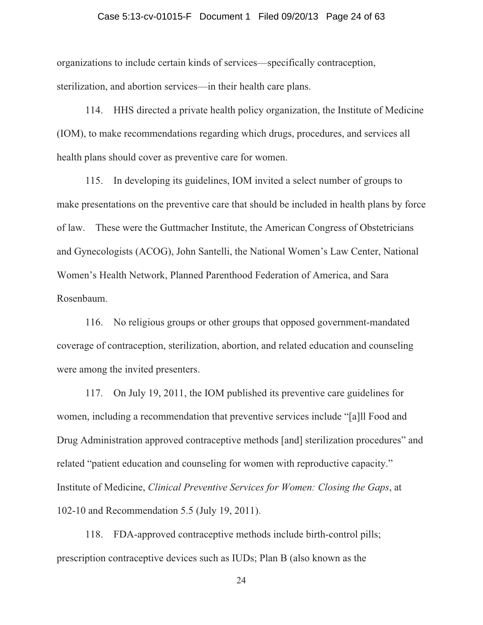## Case 5:13-cv-01015-F Document 1 Filed 09/20/13 Page 24 of 63

organizations to include certain kinds of services—specifically contraception, sterilization, and abortion services—in their health care plans.

114. HHS directed a private health policy organization, the Institute of Medicine (IOM), to make recommendations regarding which drugs, procedures, and services all health plans should cover as preventive care for women.

115. In developing its guidelines, IOM invited a select number of groups to make presentations on the preventive care that should be included in health plans by force of law. These were the Guttmacher Institute, the American Congress of Obstetricians and Gynecologists (ACOG), John Santelli, the National Women's Law Center, National Women's Health Network, Planned Parenthood Federation of America, and Sara Rosenbaum.

116. No religious groups or other groups that opposed government-mandated coverage of contraception, sterilization, abortion, and related education and counseling were among the invited presenters.

117. On July 19, 2011, the IOM published its preventive care guidelines for women, including a recommendation that preventive services include "[a]ll Food and Drug Administration approved contraceptive methods [and] sterilization procedures" and related "patient education and counseling for women with reproductive capacity." Institute of Medicine, *Clinical Preventive Services for Women: Closing the Gaps*, at 102-10 and Recommendation 5.5 (July 19, 2011).

118. FDA-approved contraceptive methods include birth-control pills; prescription contraceptive devices such as IUDs; Plan B (also known as the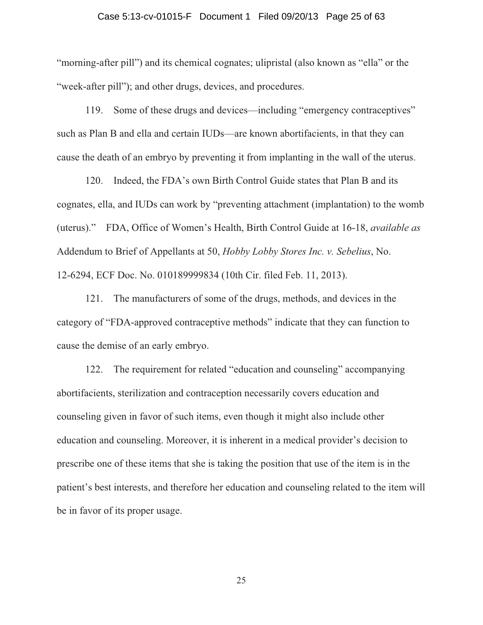## Case 5:13-cv-01015-F Document 1 Filed 09/20/13 Page 25 of 63

"morning-after pill") and its chemical cognates; ulipristal (also known as "ella" or the "week-after pill"); and other drugs, devices, and procedures.

119. Some of these drugs and devices—including "emergency contraceptives" such as Plan B and ella and certain IUDs—are known abortifacients, in that they can cause the death of an embryo by preventing it from implanting in the wall of the uterus.

120. Indeed, the FDA's own Birth Control Guide states that Plan B and its cognates, ella, and IUDs can work by "preventing attachment (implantation) to the womb (uterus)." FDA, Office of Women's Health, Birth Control Guide at 16-18, *available as* Addendum to Brief of Appellants at 50, *Hobby Lobby Stores Inc. v. Sebelius*, No. 12-6294, ECF Doc. No. 010189999834 (10th Cir. filed Feb. 11, 2013).

121. The manufacturers of some of the drugs, methods, and devices in the category of "FDA-approved contraceptive methods" indicate that they can function to cause the demise of an early embryo.

122. The requirement for related "education and counseling" accompanying abortifacients, sterilization and contraception necessarily covers education and counseling given in favor of such items, even though it might also include other education and counseling. Moreover, it is inherent in a medical provider's decision to prescribe one of these items that she is taking the position that use of the item is in the patient's best interests, and therefore her education and counseling related to the item will be in favor of its proper usage.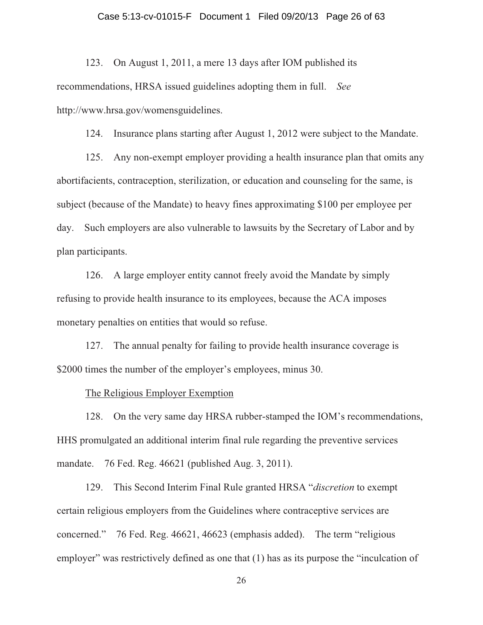## Case 5:13-cv-01015-F Document 1 Filed 09/20/13 Page 26 of 63

123. On August 1, 2011, a mere 13 days after IOM published its recommendations, HRSA issued guidelines adopting them in full. *See* http://www.hrsa.gov/womensguidelines.

124. Insurance plans starting after August 1, 2012 were subject to the Mandate.

125. Any non-exempt employer providing a health insurance plan that omits any abortifacients, contraception, sterilization, or education and counseling for the same, is subject (because of the Mandate) to heavy fines approximating \$100 per employee per day. Such employers are also vulnerable to lawsuits by the Secretary of Labor and by plan participants.

126. A large employer entity cannot freely avoid the Mandate by simply refusing to provide health insurance to its employees, because the ACA imposes monetary penalties on entities that would so refuse.

127. The annual penalty for failing to provide health insurance coverage is \$2000 times the number of the employer's employees, minus 30.

#### The Religious Employer Exemption

128. On the very same day HRSA rubber-stamped the IOM's recommendations, HHS promulgated an additional interim final rule regarding the preventive services mandate. 76 Fed. Reg. 46621 (published Aug. 3, 2011).

129. This Second Interim Final Rule granted HRSA "*discretion* to exempt certain religious employers from the Guidelines where contraceptive services are concerned." 76 Fed. Reg. 46621, 46623 (emphasis added). The term "religious employer" was restrictively defined as one that (1) has as its purpose the "inculcation of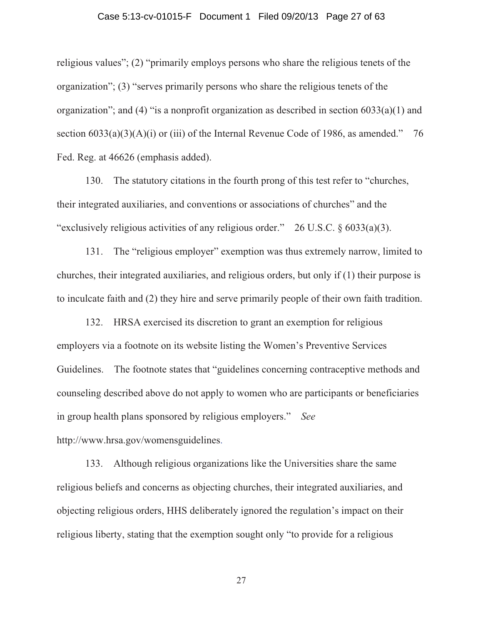## Case 5:13-cv-01015-F Document 1 Filed 09/20/13 Page 27 of 63

religious values"; (2) "primarily employs persons who share the religious tenets of the organization"; (3) "serves primarily persons who share the religious tenets of the organization"; and (4) "is a nonprofit organization as described in section 6033(a)(1) and section  $6033(a)(3)(A)(i)$  or (iii) of the Internal Revenue Code of 1986, as amended." 76 Fed. Reg. at 46626 (emphasis added).

130. The statutory citations in the fourth prong of this test refer to "churches, their integrated auxiliaries, and conventions or associations of churches" and the "exclusively religious activities of any religious order." 26 U.S.C. § 6033(a)(3).

131. The "religious employer" exemption was thus extremely narrow, limited to churches, their integrated auxiliaries, and religious orders, but only if (1) their purpose is to inculcate faith and (2) they hire and serve primarily people of their own faith tradition.

132. HRSA exercised its discretion to grant an exemption for religious employers via a footnote on its website listing the Women's Preventive Services Guidelines. The footnote states that "guidelines concerning contraceptive methods and counseling described above do not apply to women who are participants or beneficiaries in group health plans sponsored by religious employers." *See* http://www.hrsa.gov/womensguidelines.

133. Although religious organizations like the Universities share the same religious beliefs and concerns as objecting churches, their integrated auxiliaries, and objecting religious orders, HHS deliberately ignored the regulation's impact on their religious liberty, stating that the exemption sought only "to provide for a religious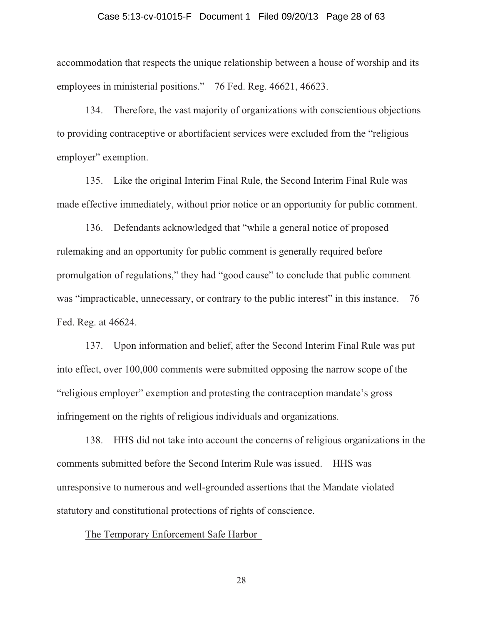## Case 5:13-cv-01015-F Document 1 Filed 09/20/13 Page 28 of 63

accommodation that respects the unique relationship between a house of worship and its employees in ministerial positions." 76 Fed. Reg. 46621, 46623.

134. Therefore, the vast majority of organizations with conscientious objections to providing contraceptive or abortifacient services were excluded from the "religious employer" exemption.

135. Like the original Interim Final Rule, the Second Interim Final Rule was made effective immediately, without prior notice or an opportunity for public comment.

136. Defendants acknowledged that "while a general notice of proposed rulemaking and an opportunity for public comment is generally required before promulgation of regulations," they had "good cause" to conclude that public comment was "impracticable, unnecessary, or contrary to the public interest" in this instance. 76 Fed. Reg. at 46624.

137. Upon information and belief, after the Second Interim Final Rule was put into effect, over 100,000 comments were submitted opposing the narrow scope of the "religious employer" exemption and protesting the contraception mandate's gross infringement on the rights of religious individuals and organizations.

138. HHS did not take into account the concerns of religious organizations in the comments submitted before the Second Interim Rule was issued. HHS was unresponsive to numerous and well-grounded assertions that the Mandate violated statutory and constitutional protections of rights of conscience.

The Temporary Enforcement Safe Harbor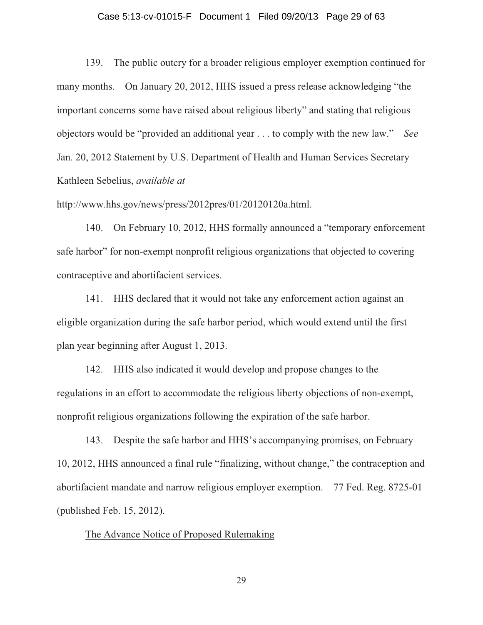## Case 5:13-cv-01015-F Document 1 Filed 09/20/13 Page 29 of 63

139. The public outcry for a broader religious employer exemption continued for many months. On January 20, 2012, HHS issued a press release acknowledging "the important concerns some have raised about religious liberty" and stating that religious objectors would be "provided an additional year . . . to comply with the new law." *See* Jan. 20, 2012 Statement by U.S. Department of Health and Human Services Secretary Kathleen Sebelius, *available at* 

http://www.hhs.gov/news/press/2012pres/01/20120120a.html.

140. On February 10, 2012, HHS formally announced a "temporary enforcement safe harbor" for non-exempt nonprofit religious organizations that objected to covering contraceptive and abortifacient services.

141. HHS declared that it would not take any enforcement action against an eligible organization during the safe harbor period, which would extend until the first plan year beginning after August 1, 2013.

142. HHS also indicated it would develop and propose changes to the regulations in an effort to accommodate the religious liberty objections of non-exempt, nonprofit religious organizations following the expiration of the safe harbor.

143. Despite the safe harbor and HHS's accompanying promises, on February 10, 2012, HHS announced a final rule "finalizing, without change," the contraception and abortifacient mandate and narrow religious employer exemption. 77 Fed. Reg. 8725-01 (published Feb. 15, 2012).

## The Advance Notice of Proposed Rulemaking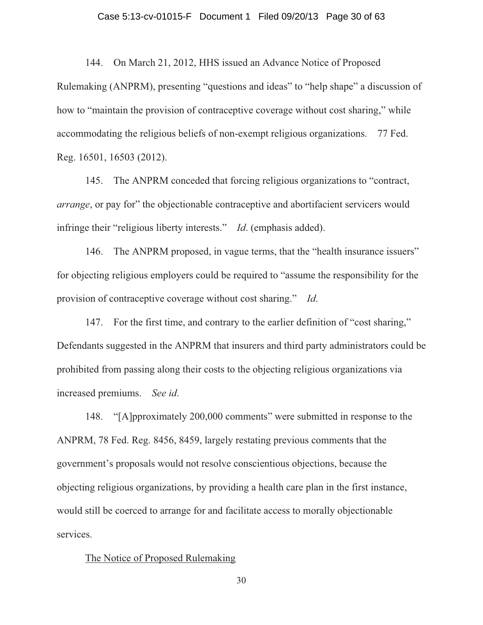## Case 5:13-cv-01015-F Document 1 Filed 09/20/13 Page 30 of 63

144. On March 21, 2012, HHS issued an Advance Notice of Proposed

Rulemaking (ANPRM), presenting "questions and ideas" to "help shape" a discussion of how to "maintain the provision of contraceptive coverage without cost sharing," while accommodating the religious beliefs of non-exempt religious organizations. 77 Fed. Reg. 16501, 16503 (2012).

145. The ANPRM conceded that forcing religious organizations to "contract, *arrange*, or pay for" the objectionable contraceptive and abortifacient servicers would infringe their "religious liberty interests." *Id*. (emphasis added).

146. The ANPRM proposed, in vague terms, that the "health insurance issuers" for objecting religious employers could be required to "assume the responsibility for the provision of contraceptive coverage without cost sharing." *Id*.

147. For the first time, and contrary to the earlier definition of "cost sharing," Defendants suggested in the ANPRM that insurers and third party administrators could be prohibited from passing along their costs to the objecting religious organizations via increased premiums. *See id*.

148. "[A]pproximately 200,000 comments" were submitted in response to the ANPRM, 78 Fed. Reg. 8456, 8459, largely restating previous comments that the government's proposals would not resolve conscientious objections, because the objecting religious organizations, by providing a health care plan in the first instance, would still be coerced to arrange for and facilitate access to morally objectionable services.

#### The Notice of Proposed Rulemaking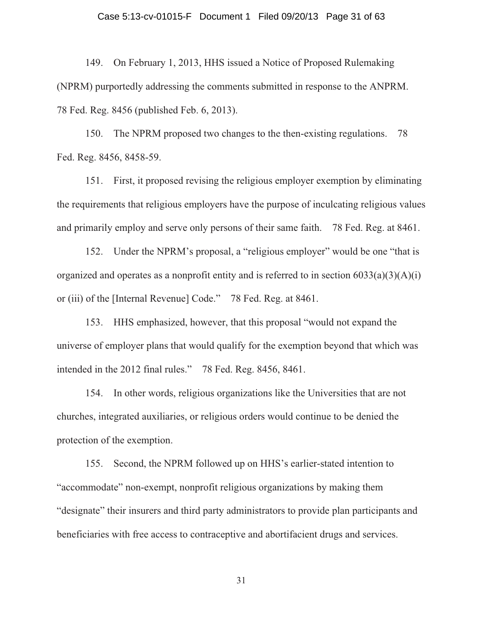## Case 5:13-cv-01015-F Document 1 Filed 09/20/13 Page 31 of 63

149. On February 1, 2013, HHS issued a Notice of Proposed Rulemaking (NPRM) purportedly addressing the comments submitted in response to the ANPRM. 78 Fed. Reg. 8456 (published Feb. 6, 2013).

150. The NPRM proposed two changes to the then-existing regulations. 78 Fed. Reg. 8456, 8458-59.

151. First, it proposed revising the religious employer exemption by eliminating the requirements that religious employers have the purpose of inculcating religious values and primarily employ and serve only persons of their same faith. 78 Fed. Reg. at 8461.

152. Under the NPRM's proposal, a "religious employer" would be one "that is organized and operates as a nonprofit entity and is referred to in section  $6033(a)(3)(A)(i)$ or (iii) of the [Internal Revenue] Code." 78 Fed. Reg. at 8461.

153. HHS emphasized, however, that this proposal "would not expand the universe of employer plans that would qualify for the exemption beyond that which was intended in the 2012 final rules." 78 Fed. Reg. 8456, 8461.

154. In other words, religious organizations like the Universities that are not churches, integrated auxiliaries, or religious orders would continue to be denied the protection of the exemption.

155. Second, the NPRM followed up on HHS's earlier-stated intention to "accommodate" non-exempt, nonprofit religious organizations by making them "designate" their insurers and third party administrators to provide plan participants and beneficiaries with free access to contraceptive and abortifacient drugs and services.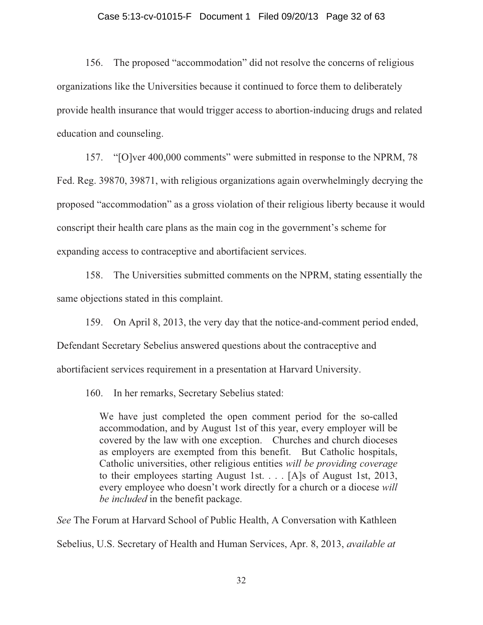#### Case 5:13-cv-01015-F Document 1 Filed 09/20/13 Page 32 of 63

156. The proposed "accommodation" did not resolve the concerns of religious organizations like the Universities because it continued to force them to deliberately provide health insurance that would trigger access to abortion-inducing drugs and related education and counseling.

157. "[O]ver 400,000 comments" were submitted in response to the NPRM, 78 Fed. Reg. 39870, 39871, with religious organizations again overwhelmingly decrying the proposed "accommodation" as a gross violation of their religious liberty because it would conscript their health care plans as the main cog in the government's scheme for expanding access to contraceptive and abortifacient services.

158. The Universities submitted comments on the NPRM, stating essentially the same objections stated in this complaint.

159. On April 8, 2013, the very day that the notice-and-comment period ended,

Defendant Secretary Sebelius answered questions about the contraceptive and

abortifacient services requirement in a presentation at Harvard University.

160. In her remarks, Secretary Sebelius stated:

We have just completed the open comment period for the so-called accommodation, and by August 1st of this year, every employer will be covered by the law with one exception. Churches and church dioceses as employers are exempted from this benefit. But Catholic hospitals, Catholic universities, other religious entities *will be providing coverage*  to their employees starting August 1st. . . . [A]s of August 1st, 2013, every employee who doesn't work directly for a church or a diocese *will be included* in the benefit package.

*See* The Forum at Harvard School of Public Health, A Conversation with Kathleen Sebelius, U.S. Secretary of Health and Human Services, Apr. 8, 2013, *available at*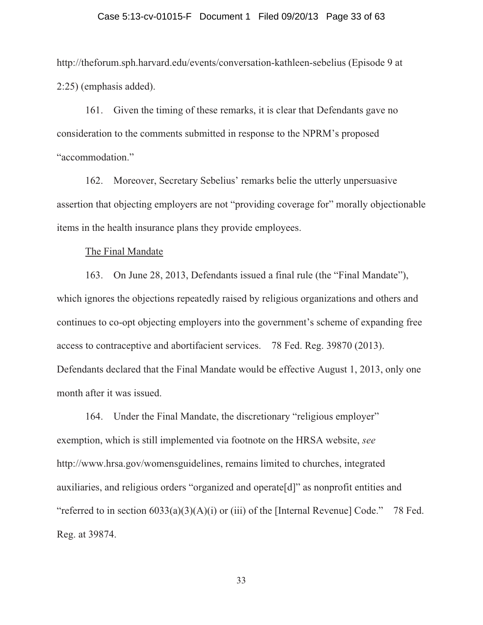## Case 5:13-cv-01015-F Document 1 Filed 09/20/13 Page 33 of 63

http://theforum.sph.harvard.edu/events/conversation-kathleen-sebelius (Episode 9 at 2:25) (emphasis added).

161. Given the timing of these remarks, it is clear that Defendants gave no consideration to the comments submitted in response to the NPRM's proposed "accommodation."

162. Moreover, Secretary Sebelius' remarks belie the utterly unpersuasive assertion that objecting employers are not "providing coverage for" morally objectionable items in the health insurance plans they provide employees.

The Final Mandate

163. On June 28, 2013, Defendants issued a final rule (the "Final Mandate"), which ignores the objections repeatedly raised by religious organizations and others and continues to co-opt objecting employers into the government's scheme of expanding free access to contraceptive and abortifacient services. 78 Fed. Reg. 39870 (2013). Defendants declared that the Final Mandate would be effective August 1, 2013, only one month after it was issued.

164. Under the Final Mandate, the discretionary "religious employer" exemption, which is still implemented via footnote on the HRSA website, *see* http://www.hrsa.gov/womensguidelines, remains limited to churches, integrated auxiliaries, and religious orders "organized and operate[d]" as nonprofit entities and "referred to in section  $6033(a)(3)(A)(i)$  or (iii) of the [Internal Revenue] Code." 78 Fed. Reg. at 39874.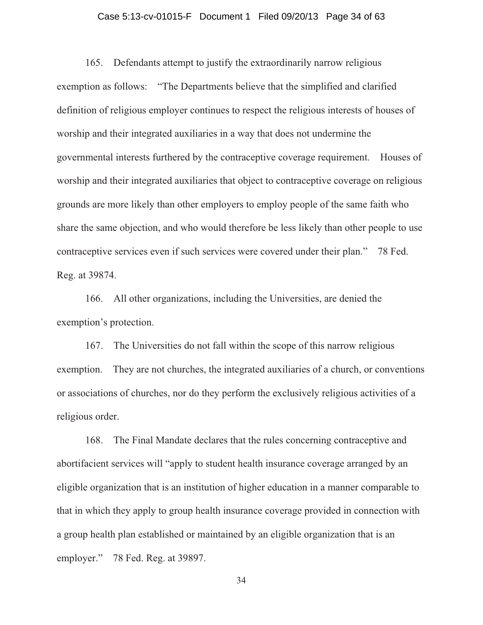## Case 5:13-cv-01015-F Document 1 Filed 09/20/13 Page 34 of 63

165. Defendants attempt to justify the extraordinarily narrow religious exemption as follows: "The Departments believe that the simplified and clarified definition of religious employer continues to respect the religious interests of houses of worship and their integrated auxiliaries in a way that does not undermine the governmental interests furthered by the contraceptive coverage requirement. Houses of worship and their integrated auxiliaries that object to contraceptive coverage on religious grounds are more likely than other employers to employ people of the same faith who share the same objection, and who would therefore be less likely than other people to use contraceptive services even if such services were covered under their plan." 78 Fed. Reg. at 39874.

166. All other organizations, including the Universities, are denied the exemption's protection.

167. The Universities do not fall within the scope of this narrow religious exemption. They are not churches, the integrated auxiliaries of a church, or conventions or associations of churches, nor do they perform the exclusively religious activities of a religious order.

168. The Final Mandate declares that the rules concerning contraceptive and abortifacient services will "apply to student health insurance coverage arranged by an eligible organization that is an institution of higher education in a manner comparable to that in which they apply to group health insurance coverage provided in connection with a group health plan established or maintained by an eligible organization that is an employer." 78 Fed. Reg. at 39897.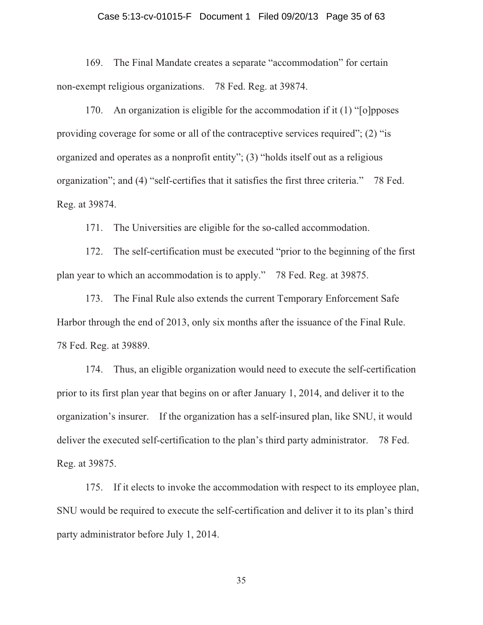#### Case 5:13-cv-01015-F Document 1 Filed 09/20/13 Page 35 of 63

169. The Final Mandate creates a separate "accommodation" for certain non-exempt religious organizations. 78 Fed. Reg. at 39874.

170. An organization is eligible for the accommodation if it (1) "[o]pposes providing coverage for some or all of the contraceptive services required"; (2) "is organized and operates as a nonprofit entity"; (3) "holds itself out as a religious organization"; and (4) "self-certifies that it satisfies the first three criteria." 78 Fed. Reg. at 39874.

171. The Universities are eligible for the so-called accommodation.

172. The self-certification must be executed "prior to the beginning of the first plan year to which an accommodation is to apply." 78 Fed. Reg. at 39875.

173. The Final Rule also extends the current Temporary Enforcement Safe Harbor through the end of 2013, only six months after the issuance of the Final Rule. 78 Fed. Reg. at 39889.

174. Thus, an eligible organization would need to execute the self-certification prior to its first plan year that begins on or after January 1, 2014, and deliver it to the organization's insurer. If the organization has a self-insured plan, like SNU, it would deliver the executed self-certification to the plan's third party administrator. 78 Fed. Reg. at 39875.

175. If it elects to invoke the accommodation with respect to its employee plan, SNU would be required to execute the self-certification and deliver it to its plan's third party administrator before July 1, 2014.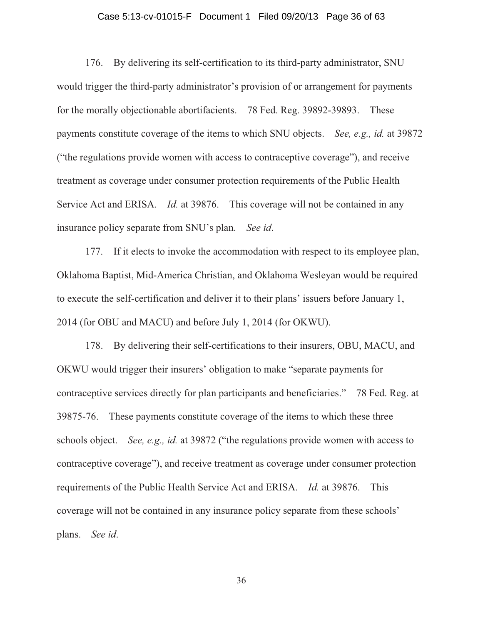## Case 5:13-cv-01015-F Document 1 Filed 09/20/13 Page 36 of 63

176. By delivering its self-certification to its third-party administrator, SNU would trigger the third-party administrator's provision of or arrangement for payments for the morally objectionable abortifacients. 78 Fed. Reg. 39892-39893. These payments constitute coverage of the items to which SNU objects. *See, e.g., id.* at 39872 ("the regulations provide women with access to contraceptive coverage"), and receive treatment as coverage under consumer protection requirements of the Public Health Service Act and ERISA. *Id.* at 39876. This coverage will not be contained in any insurance policy separate from SNU's plan. *See id*.

177. If it elects to invoke the accommodation with respect to its employee plan, Oklahoma Baptist, Mid-America Christian, and Oklahoma Wesleyan would be required to execute the self-certification and deliver it to their plans' issuers before January 1, 2014 (for OBU and MACU) and before July 1, 2014 (for OKWU).

178. By delivering their self-certifications to their insurers, OBU, MACU, and OKWU would trigger their insurers' obligation to make "separate payments for contraceptive services directly for plan participants and beneficiaries." 78 Fed. Reg. at 39875-76. These payments constitute coverage of the items to which these three schools object. *See, e.g., id.* at 39872 ("the regulations provide women with access to contraceptive coverage"), and receive treatment as coverage under consumer protection requirements of the Public Health Service Act and ERISA. *Id.* at 39876. This coverage will not be contained in any insurance policy separate from these schools' plans. *See id*.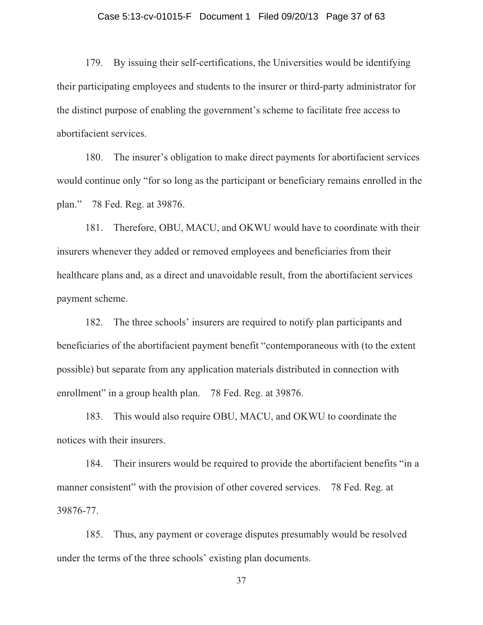## Case 5:13-cv-01015-F Document 1 Filed 09/20/13 Page 37 of 63

179. By issuing their self-certifications, the Universities would be identifying their participating employees and students to the insurer or third-party administrator for the distinct purpose of enabling the government's scheme to facilitate free access to abortifacient services.

180. The insurer's obligation to make direct payments for abortifacient services would continue only "for so long as the participant or beneficiary remains enrolled in the plan." 78 Fed. Reg. at 39876.

181. Therefore, OBU, MACU, and OKWU would have to coordinate with their insurers whenever they added or removed employees and beneficiaries from their healthcare plans and, as a direct and unavoidable result, from the abortifacient services payment scheme.

182. The three schools' insurers are required to notify plan participants and beneficiaries of the abortifacient payment benefit "contemporaneous with (to the extent possible) but separate from any application materials distributed in connection with enrollment" in a group health plan. 78 Fed. Reg. at 39876.

183. This would also require OBU, MACU, and OKWU to coordinate the notices with their insurers.

184. Their insurers would be required to provide the abortifacient benefits "in a manner consistent" with the provision of other covered services. 78 Fed. Reg. at 39876-77.

185. Thus, any payment or coverage disputes presumably would be resolved under the terms of the three schools' existing plan documents.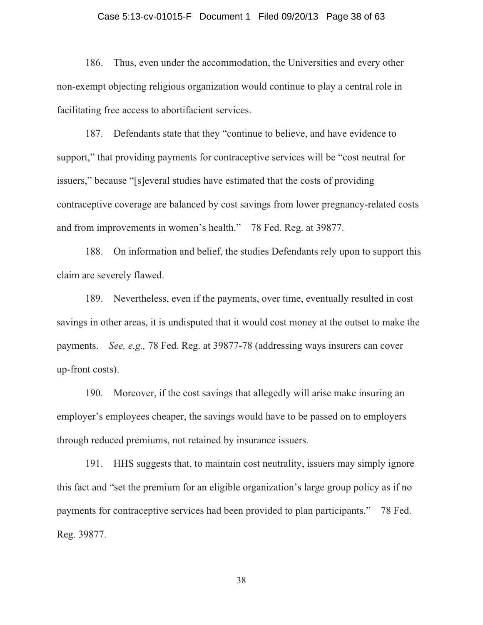## Case 5:13-cv-01015-F Document 1 Filed 09/20/13 Page 38 of 63

186. Thus, even under the accommodation, the Universities and every other non-exempt objecting religious organization would continue to play a central role in facilitating free access to abortifacient services.

187. Defendants state that they "continue to believe, and have evidence to support," that providing payments for contraceptive services will be "cost neutral for issuers," because "[s]everal studies have estimated that the costs of providing contraceptive coverage are balanced by cost savings from lower pregnancy-related costs and from improvements in women's health." 78 Fed. Reg. at 39877.

188. On information and belief, the studies Defendants rely upon to support this claim are severely flawed.

189. Nevertheless, even if the payments, over time, eventually resulted in cost savings in other areas, it is undisputed that it would cost money at the outset to make the payments. *See, e.g.,* 78 Fed. Reg. at 39877-78 (addressing ways insurers can cover up-front costs).

190. Moreover, if the cost savings that allegedly will arise make insuring an employer's employees cheaper, the savings would have to be passed on to employers through reduced premiums, not retained by insurance issuers.

191. HHS suggests that, to maintain cost neutrality, issuers may simply ignore this fact and "set the premium for an eligible organization's large group policy as if no payments for contraceptive services had been provided to plan participants." 78 Fed. Reg. 39877.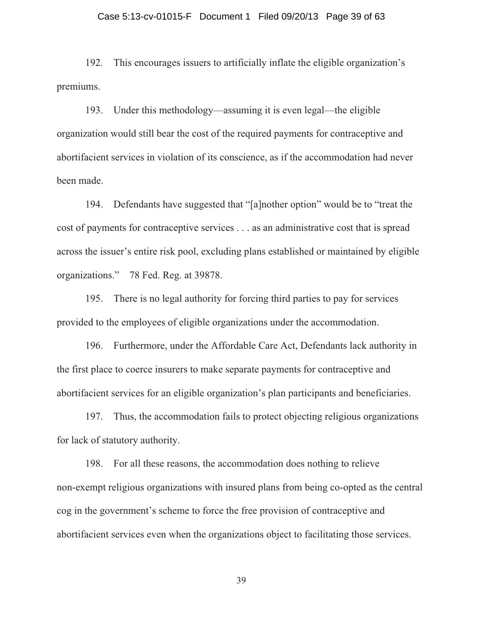## Case 5:13-cv-01015-F Document 1 Filed 09/20/13 Page 39 of 63

192. This encourages issuers to artificially inflate the eligible organization's premiums.

193. Under this methodology—assuming it is even legal—the eligible organization would still bear the cost of the required payments for contraceptive and abortifacient services in violation of its conscience, as if the accommodation had never been made.

194. Defendants have suggested that "[a]nother option" would be to "treat the cost of payments for contraceptive services . . . as an administrative cost that is spread across the issuer's entire risk pool, excluding plans established or maintained by eligible organizations." 78 Fed. Reg. at 39878.

195. There is no legal authority for forcing third parties to pay for services provided to the employees of eligible organizations under the accommodation.

196. Furthermore, under the Affordable Care Act, Defendants lack authority in the first place to coerce insurers to make separate payments for contraceptive and abortifacient services for an eligible organization's plan participants and beneficiaries.

197. Thus, the accommodation fails to protect objecting religious organizations for lack of statutory authority.

198. For all these reasons, the accommodation does nothing to relieve non-exempt religious organizations with insured plans from being co-opted as the central cog in the government's scheme to force the free provision of contraceptive and abortifacient services even when the organizations object to facilitating those services.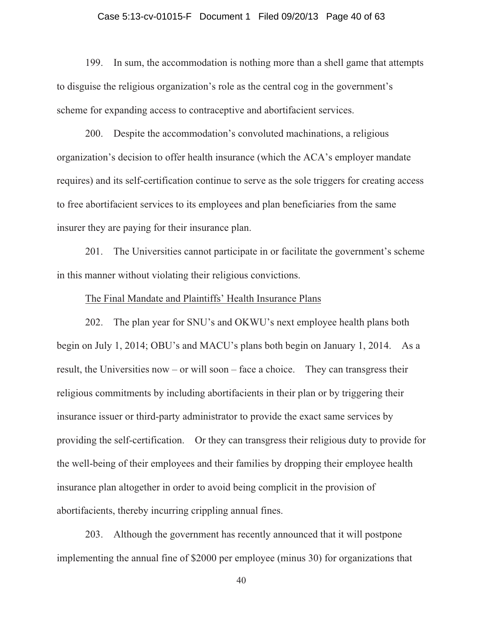## Case 5:13-cv-01015-F Document 1 Filed 09/20/13 Page 40 of 63

199. In sum, the accommodation is nothing more than a shell game that attempts to disguise the religious organization's role as the central cog in the government's scheme for expanding access to contraceptive and abortifacient services.

200. Despite the accommodation's convoluted machinations, a religious organization's decision to offer health insurance (which the ACA's employer mandate requires) and its self-certification continue to serve as the sole triggers for creating access to free abortifacient services to its employees and plan beneficiaries from the same insurer they are paying for their insurance plan.

201. The Universities cannot participate in or facilitate the government's scheme in this manner without violating their religious convictions.

#### The Final Mandate and Plaintiffs' Health Insurance Plans

202. The plan year for SNU's and OKWU's next employee health plans both begin on July 1, 2014; OBU's and MACU's plans both begin on January 1, 2014. As a result, the Universities now – or will soon – face a choice. They can transgress their religious commitments by including abortifacients in their plan or by triggering their insurance issuer or third-party administrator to provide the exact same services by providing the self-certification. Or they can transgress their religious duty to provide for the well-being of their employees and their families by dropping their employee health insurance plan altogether in order to avoid being complicit in the provision of abortifacients, thereby incurring crippling annual fines.

203. Although the government has recently announced that it will postpone implementing the annual fine of \$2000 per employee (minus 30) for organizations that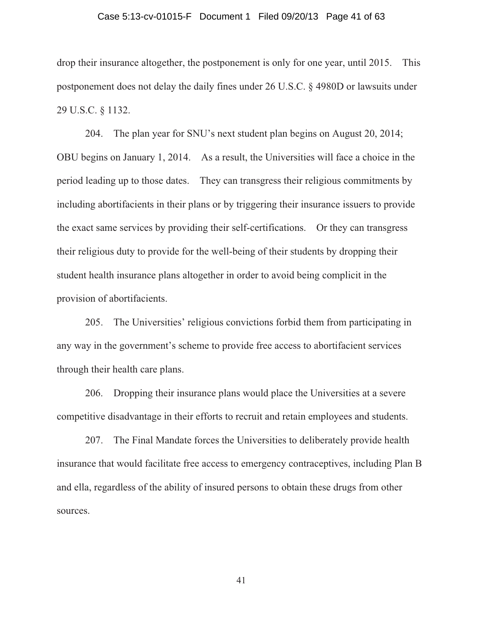## Case 5:13-cv-01015-F Document 1 Filed 09/20/13 Page 41 of 63

drop their insurance altogether, the postponement is only for one year, until 2015. This postponement does not delay the daily fines under 26 U.S.C. § 4980D or lawsuits under 29 U.S.C. § 1132.

204. The plan year for SNU's next student plan begins on August 20, 2014; OBU begins on January 1, 2014. As a result, the Universities will face a choice in the period leading up to those dates. They can transgress their religious commitments by including abortifacients in their plans or by triggering their insurance issuers to provide the exact same services by providing their self-certifications. Or they can transgress their religious duty to provide for the well-being of their students by dropping their student health insurance plans altogether in order to avoid being complicit in the provision of abortifacients.

205. The Universities' religious convictions forbid them from participating in any way in the government's scheme to provide free access to abortifacient services through their health care plans.

206. Dropping their insurance plans would place the Universities at a severe competitive disadvantage in their efforts to recruit and retain employees and students.

207. The Final Mandate forces the Universities to deliberately provide health insurance that would facilitate free access to emergency contraceptives, including Plan B and ella, regardless of the ability of insured persons to obtain these drugs from other sources.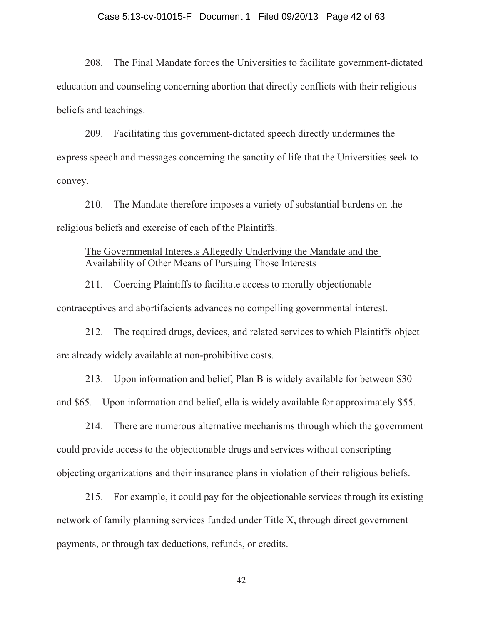## Case 5:13-cv-01015-F Document 1 Filed 09/20/13 Page 42 of 63

208. The Final Mandate forces the Universities to facilitate government-dictated education and counseling concerning abortion that directly conflicts with their religious beliefs and teachings.

209. Facilitating this government-dictated speech directly undermines the express speech and messages concerning the sanctity of life that the Universities seek to convey.

210. The Mandate therefore imposes a variety of substantial burdens on the religious beliefs and exercise of each of the Plaintiffs.

## The Governmental Interests Allegedly Underlying the Mandate and the Availability of Other Means of Pursuing Those Interests

211. Coercing Plaintiffs to facilitate access to morally objectionable contraceptives and abortifacients advances no compelling governmental interest.

212. The required drugs, devices, and related services to which Plaintiffs object are already widely available at non-prohibitive costs.

213. Upon information and belief, Plan B is widely available for between \$30 and \$65. Upon information and belief, ella is widely available for approximately \$55.

214. There are numerous alternative mechanisms through which the government could provide access to the objectionable drugs and services without conscripting objecting organizations and their insurance plans in violation of their religious beliefs.

215. For example, it could pay for the objectionable services through its existing network of family planning services funded under Title X, through direct government payments, or through tax deductions, refunds, or credits.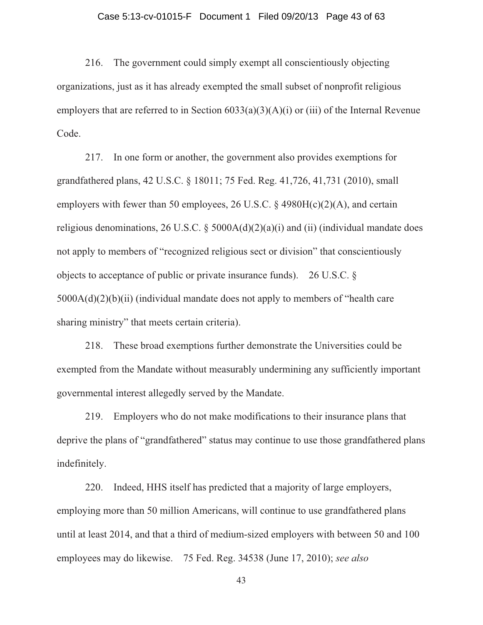## Case 5:13-cv-01015-F Document 1 Filed 09/20/13 Page 43 of 63

216. The government could simply exempt all conscientiously objecting organizations, just as it has already exempted the small subset of nonprofit religious employers that are referred to in Section  $6033(a)(3)(A)(i)$  or (iii) of the Internal Revenue Code.

217. In one form or another, the government also provides exemptions for grandfathered plans, 42 U.S.C. § 18011; 75 Fed. Reg. 41,726, 41,731 (2010), small employers with fewer than 50 employees, 26 U.S.C.  $\S$  4980H(c)(2)(A), and certain religious denominations, 26 U.S.C.  $\S$  5000A(d)(2)(a)(i) and (ii) (individual mandate does not apply to members of "recognized religious sect or division" that conscientiously objects to acceptance of public or private insurance funds). 26 U.S.C. § 5000A(d)(2)(b)(ii) (individual mandate does not apply to members of "health care sharing ministry" that meets certain criteria).

218. These broad exemptions further demonstrate the Universities could be exempted from the Mandate without measurably undermining any sufficiently important governmental interest allegedly served by the Mandate.

219. Employers who do not make modifications to their insurance plans that deprive the plans of "grandfathered" status may continue to use those grandfathered plans indefinitely.

220. Indeed, HHS itself has predicted that a majority of large employers, employing more than 50 million Americans, will continue to use grandfathered plans until at least 2014, and that a third of medium-sized employers with between 50 and 100 employees may do likewise. 75 Fed. Reg. 34538 (June 17, 2010); *see also*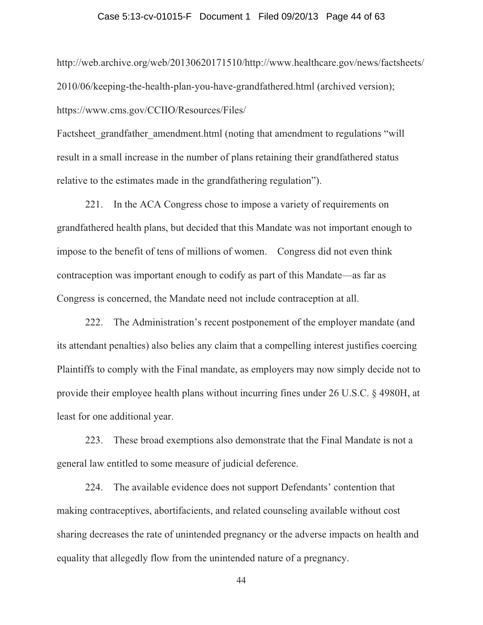## Case 5:13-cv-01015-F Document 1 Filed 09/20/13 Page 44 of 63

http://web.archive.org/web/20130620171510/http://www.healthcare.gov/news/factsheets/ 2010/06/keeping-the-health-plan-you-have-grandfathered.html (archived version); https://www.cms.gov/CCIIO/Resources/Files/

Factsheet grandfather amendment.html (noting that amendment to regulations "will result in a small increase in the number of plans retaining their grandfathered status relative to the estimates made in the grandfathering regulation").

221. In the ACA Congress chose to impose a variety of requirements on grandfathered health plans, but decided that this Mandate was not important enough to impose to the benefit of tens of millions of women. Congress did not even think contraception was important enough to codify as part of this Mandate—as far as Congress is concerned, the Mandate need not include contraception at all.

222. The Administration's recent postponement of the employer mandate (and its attendant penalties) also belies any claim that a compelling interest justifies coercing Plaintiffs to comply with the Final mandate, as employers may now simply decide not to provide their employee health plans without incurring fines under 26 U.S.C. § 4980H, at least for one additional year.

223. These broad exemptions also demonstrate that the Final Mandate is not a general law entitled to some measure of judicial deference.

224. The available evidence does not support Defendants' contention that making contraceptives, abortifacients, and related counseling available without cost sharing decreases the rate of unintended pregnancy or the adverse impacts on health and equality that allegedly flow from the unintended nature of a pregnancy.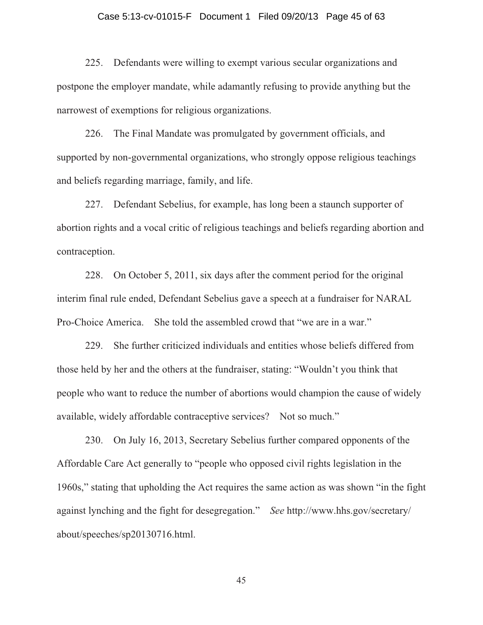## Case 5:13-cv-01015-F Document 1 Filed 09/20/13 Page 45 of 63

225. Defendants were willing to exempt various secular organizations and postpone the employer mandate, while adamantly refusing to provide anything but the narrowest of exemptions for religious organizations.

226. The Final Mandate was promulgated by government officials, and supported by non-governmental organizations, who strongly oppose religious teachings and beliefs regarding marriage, family, and life.

227. Defendant Sebelius, for example, has long been a staunch supporter of abortion rights and a vocal critic of religious teachings and beliefs regarding abortion and contraception.

228. On October 5, 2011, six days after the comment period for the original interim final rule ended, Defendant Sebelius gave a speech at a fundraiser for NARAL Pro-Choice America. She told the assembled crowd that "we are in a war."

229. She further criticized individuals and entities whose beliefs differed from those held by her and the others at the fundraiser, stating: "Wouldn't you think that people who want to reduce the number of abortions would champion the cause of widely available, widely affordable contraceptive services? Not so much."

230. On July 16, 2013, Secretary Sebelius further compared opponents of the Affordable Care Act generally to "people who opposed civil rights legislation in the 1960s," stating that upholding the Act requires the same action as was shown "in the fight against lynching and the fight for desegregation." *See* http://www.hhs.gov/secretary/ about/speeches/sp20130716.html.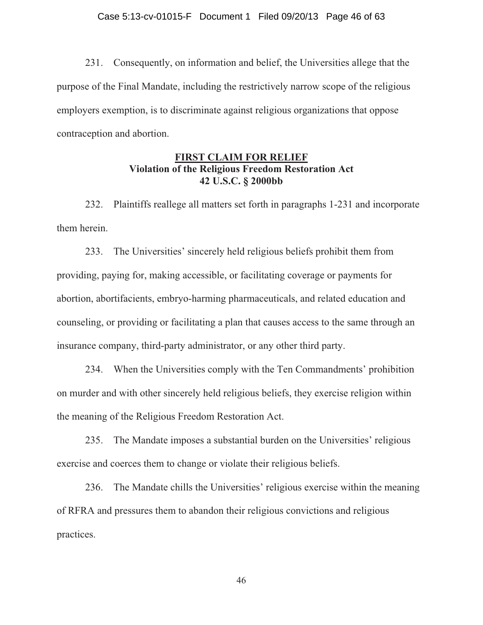231. Consequently, on information and belief, the Universities allege that the purpose of the Final Mandate, including the restrictively narrow scope of the religious employers exemption, is to discriminate against religious organizations that oppose contraception and abortion.

## **FIRST CLAIM FOR RELIEF Violation of the Religious Freedom Restoration Act 42 U.S.C. § 2000bb**

232. Plaintiffs reallege all matters set forth in paragraphs 1-231 and incorporate them herein.

233. The Universities' sincerely held religious beliefs prohibit them from providing, paying for, making accessible, or facilitating coverage or payments for abortion, abortifacients, embryo-harming pharmaceuticals, and related education and counseling, or providing or facilitating a plan that causes access to the same through an insurance company, third-party administrator, or any other third party.

234. When the Universities comply with the Ten Commandments' prohibition on murder and with other sincerely held religious beliefs, they exercise religion within the meaning of the Religious Freedom Restoration Act.

235. The Mandate imposes a substantial burden on the Universities' religious exercise and coerces them to change or violate their religious beliefs.

236. The Mandate chills the Universities' religious exercise within the meaning of RFRA and pressures them to abandon their religious convictions and religious practices.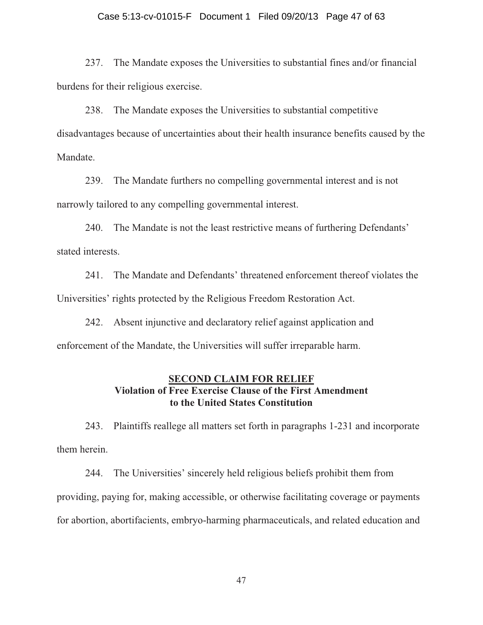## Case 5:13-cv-01015-F Document 1 Filed 09/20/13 Page 47 of 63

237. The Mandate exposes the Universities to substantial fines and/or financial burdens for their religious exercise.

238. The Mandate exposes the Universities to substantial competitive disadvantages because of uncertainties about their health insurance benefits caused by the Mandate.

239. The Mandate furthers no compelling governmental interest and is not narrowly tailored to any compelling governmental interest.

240. The Mandate is not the least restrictive means of furthering Defendants' stated interests.

241. The Mandate and Defendants' threatened enforcement thereof violates the Universities' rights protected by the Religious Freedom Restoration Act.

242. Absent injunctive and declaratory relief against application and enforcement of the Mandate, the Universities will suffer irreparable harm.

## **SECOND CLAIM FOR RELIEF Violation of Free Exercise Clause of the First Amendment to the United States Constitution**

243. Plaintiffs reallege all matters set forth in paragraphs 1-231 and incorporate them herein.

244. The Universities' sincerely held religious beliefs prohibit them from providing, paying for, making accessible, or otherwise facilitating coverage or payments for abortion, abortifacients, embryo-harming pharmaceuticals, and related education and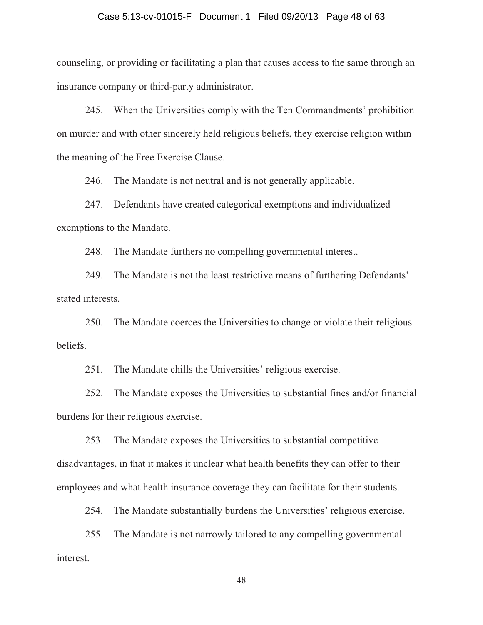#### Case 5:13-cv-01015-F Document 1 Filed 09/20/13 Page 48 of 63

counseling, or providing or facilitating a plan that causes access to the same through an insurance company or third-party administrator.

245. When the Universities comply with the Ten Commandments' prohibition on murder and with other sincerely held religious beliefs, they exercise religion within the meaning of the Free Exercise Clause.

246. The Mandate is not neutral and is not generally applicable.

247. Defendants have created categorical exemptions and individualized exemptions to the Mandate.

248. The Mandate furthers no compelling governmental interest.

249. The Mandate is not the least restrictive means of furthering Defendants' stated interests.

250. The Mandate coerces the Universities to change or violate their religious beliefs.

251. The Mandate chills the Universities' religious exercise.

252. The Mandate exposes the Universities to substantial fines and/or financial burdens for their religious exercise.

253. The Mandate exposes the Universities to substantial competitive disadvantages, in that it makes it unclear what health benefits they can offer to their employees and what health insurance coverage they can facilitate for their students.

254. The Mandate substantially burdens the Universities' religious exercise.

255. The Mandate is not narrowly tailored to any compelling governmental interest.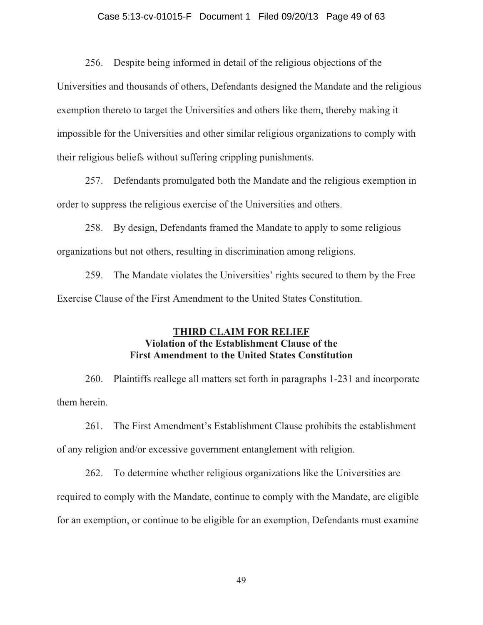## Case 5:13-cv-01015-F Document 1 Filed 09/20/13 Page 49 of 63

256. Despite being informed in detail of the religious objections of the

Universities and thousands of others, Defendants designed the Mandate and the religious exemption thereto to target the Universities and others like them, thereby making it impossible for the Universities and other similar religious organizations to comply with their religious beliefs without suffering crippling punishments.

257. Defendants promulgated both the Mandate and the religious exemption in order to suppress the religious exercise of the Universities and others.

258. By design, Defendants framed the Mandate to apply to some religious organizations but not others, resulting in discrimination among religions.

259. The Mandate violates the Universities' rights secured to them by the Free Exercise Clause of the First Amendment to the United States Constitution.

## **THIRD CLAIM FOR RELIEF Violation of the Establishment Clause of the First Amendment to the United States Constitution**

260. Plaintiffs reallege all matters set forth in paragraphs 1-231 and incorporate them herein.

261. The First Amendment's Establishment Clause prohibits the establishment of any religion and/or excessive government entanglement with religion.

262. To determine whether religious organizations like the Universities are required to comply with the Mandate, continue to comply with the Mandate, are eligible for an exemption, or continue to be eligible for an exemption, Defendants must examine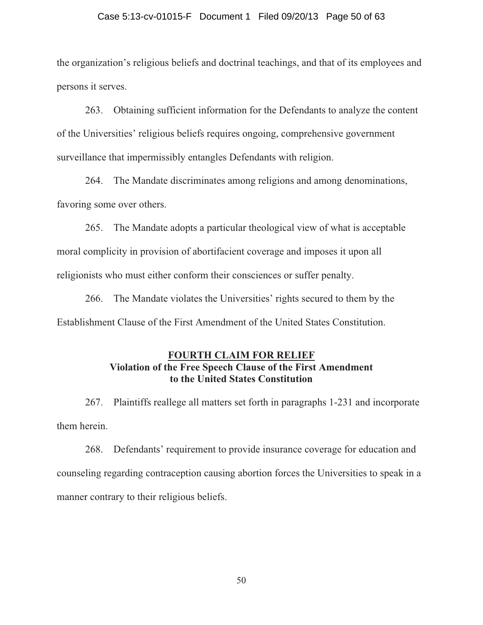#### Case 5:13-cv-01015-F Document 1 Filed 09/20/13 Page 50 of 63

the organization's religious beliefs and doctrinal teachings, and that of its employees and persons it serves.

263. Obtaining sufficient information for the Defendants to analyze the content of the Universities' religious beliefs requires ongoing, comprehensive government surveillance that impermissibly entangles Defendants with religion.

264. The Mandate discriminates among religions and among denominations, favoring some over others.

265. The Mandate adopts a particular theological view of what is acceptable moral complicity in provision of abortifacient coverage and imposes it upon all religionists who must either conform their consciences or suffer penalty.

266. The Mandate violates the Universities' rights secured to them by the Establishment Clause of the First Amendment of the United States Constitution.

## **FOURTH CLAIM FOR RELIEF Violation of the Free Speech Clause of the First Amendment to the United States Constitution**

267. Plaintiffs reallege all matters set forth in paragraphs 1-231 and incorporate them herein.

268. Defendants' requirement to provide insurance coverage for education and counseling regarding contraception causing abortion forces the Universities to speak in a manner contrary to their religious beliefs.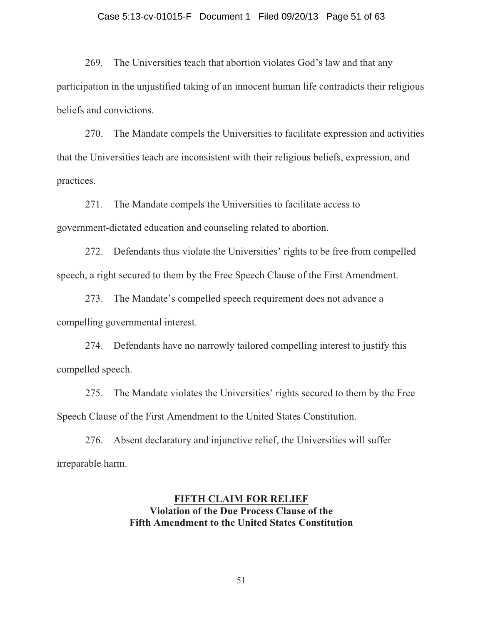#### Case 5:13-cv-01015-F Document 1 Filed 09/20/13 Page 51 of 63

269. The Universities teach that abortion violates God's law and that any participation in the unjustified taking of an innocent human life contradicts their religious beliefs and convictions.

270. The Mandate compels the Universities to facilitate expression and activities that the Universities teach are inconsistent with their religious beliefs, expression, and practices.

271. The Mandate compels the Universities to facilitate access to government-dictated education and counseling related to abortion.

272. Defendants thus violate the Universities' rights to be free from compelled speech, a right secured to them by the Free Speech Clause of the First Amendment.

273. The Mandate's compelled speech requirement does not advance a compelling governmental interest.

274. Defendants have no narrowly tailored compelling interest to justify this compelled speech.

275. The Mandate violates the Universities' rights secured to them by the Free Speech Clause of the First Amendment to the United States Constitution.

276. Absent declaratory and injunctive relief, the Universities will suffer irreparable harm.

## **FIFTH CLAIM FOR RELIEF Violation of the Due Process Clause of the Fifth Amendment to the United States Constitution**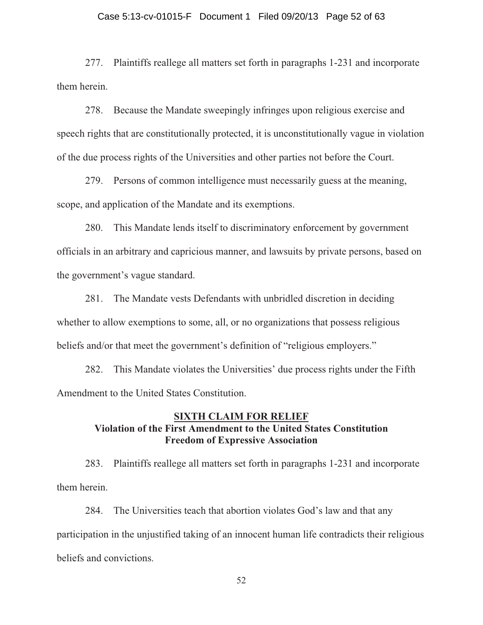## Case 5:13-cv-01015-F Document 1 Filed 09/20/13 Page 52 of 63

277. Plaintiffs reallege all matters set forth in paragraphs 1-231 and incorporate them herein.

278. Because the Mandate sweepingly infringes upon religious exercise and speech rights that are constitutionally protected, it is unconstitutionally vague in violation of the due process rights of the Universities and other parties not before the Court.

279. Persons of common intelligence must necessarily guess at the meaning, scope, and application of the Mandate and its exemptions.

280. This Mandate lends itself to discriminatory enforcement by government officials in an arbitrary and capricious manner, and lawsuits by private persons, based on the government's vague standard.

281. The Mandate vests Defendants with unbridled discretion in deciding whether to allow exemptions to some, all, or no organizations that possess religious beliefs and/or that meet the government's definition of "religious employers."

282. This Mandate violates the Universities' due process rights under the Fifth Amendment to the United States Constitution.

## **SIXTH CLAIM FOR RELIEF Violation of the First Amendment to the United States Constitution Freedom of Expressive Association**

283. Plaintiffs reallege all matters set forth in paragraphs 1-231 and incorporate them herein.

284. The Universities teach that abortion violates God's law and that any participation in the unjustified taking of an innocent human life contradicts their religious beliefs and convictions.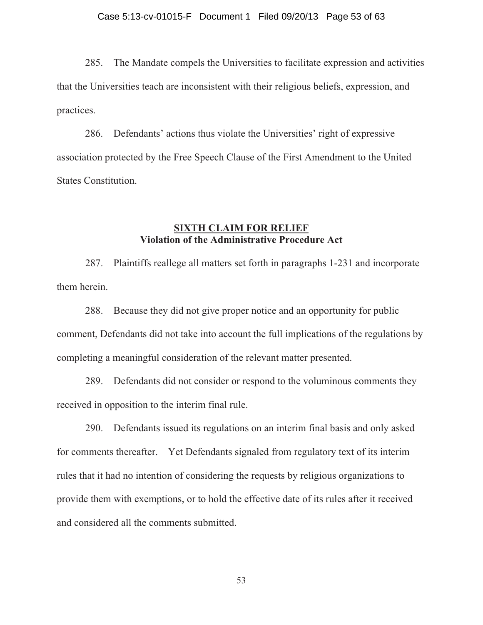285. The Mandate compels the Universities to facilitate expression and activities that the Universities teach are inconsistent with their religious beliefs, expression, and practices.

286. Defendants' actions thus violate the Universities' right of expressive association protected by the Free Speech Clause of the First Amendment to the United States Constitution.

### **SIXTH CLAIM FOR RELIEF Violation of the Administrative Procedure Act**

287. Plaintiffs reallege all matters set forth in paragraphs 1-231 and incorporate them herein.

288. Because they did not give proper notice and an opportunity for public comment, Defendants did not take into account the full implications of the regulations by completing a meaningful consideration of the relevant matter presented.

289. Defendants did not consider or respond to the voluminous comments they received in opposition to the interim final rule.

290. Defendants issued its regulations on an interim final basis and only asked for comments thereafter. Yet Defendants signaled from regulatory text of its interim rules that it had no intention of considering the requests by religious organizations to provide them with exemptions, or to hold the effective date of its rules after it received and considered all the comments submitted.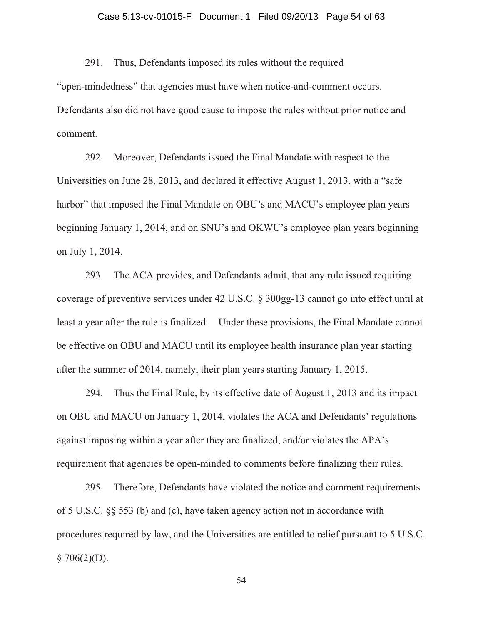## Case 5:13-cv-01015-F Document 1 Filed 09/20/13 Page 54 of 63

291. Thus, Defendants imposed its rules without the required "open-mindedness" that agencies must have when notice-and-comment occurs. Defendants also did not have good cause to impose the rules without prior notice and comment.

292. Moreover, Defendants issued the Final Mandate with respect to the Universities on June 28, 2013, and declared it effective August 1, 2013, with a "safe harbor" that imposed the Final Mandate on OBU's and MACU's employee plan years beginning January 1, 2014, and on SNU's and OKWU's employee plan years beginning on July 1, 2014.

293. The ACA provides, and Defendants admit, that any rule issued requiring coverage of preventive services under 42 U.S.C. § 300gg-13 cannot go into effect until at least a year after the rule is finalized. Under these provisions, the Final Mandate cannot be effective on OBU and MACU until its employee health insurance plan year starting after the summer of 2014, namely, their plan years starting January 1, 2015.

294. Thus the Final Rule, by its effective date of August 1, 2013 and its impact on OBU and MACU on January 1, 2014, violates the ACA and Defendants' regulations against imposing within a year after they are finalized, and/or violates the APA's requirement that agencies be open-minded to comments before finalizing their rules.

295. Therefore, Defendants have violated the notice and comment requirements of 5 U.S.C. §§ 553 (b) and (c), have taken agency action not in accordance with procedures required by law, and the Universities are entitled to relief pursuant to 5 U.S.C.  $§ 706(2)(D).$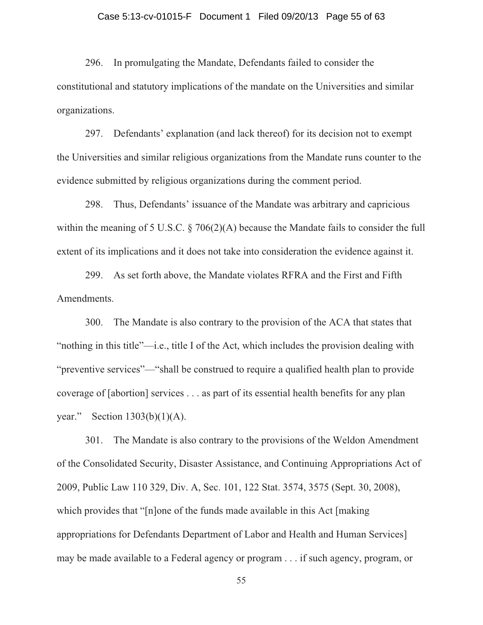## Case 5:13-cv-01015-F Document 1 Filed 09/20/13 Page 55 of 63

296. In promulgating the Mandate, Defendants failed to consider the constitutional and statutory implications of the mandate on the Universities and similar organizations.

297. Defendants' explanation (and lack thereof) for its decision not to exempt the Universities and similar religious organizations from the Mandate runs counter to the evidence submitted by religious organizations during the comment period.

298. Thus, Defendants' issuance of the Mandate was arbitrary and capricious within the meaning of 5 U.S.C. § 706(2)(A) because the Mandate fails to consider the full extent of its implications and it does not take into consideration the evidence against it.

299. As set forth above, the Mandate violates RFRA and the First and Fifth Amendments.

300. The Mandate is also contrary to the provision of the ACA that states that "nothing in this title"—i.e., title I of the Act, which includes the provision dealing with "preventive services"—"shall be construed to require a qualified health plan to provide coverage of [abortion] services . . . as part of its essential health benefits for any plan year." Section 1303(b)(1)(A).

301. The Mandate is also contrary to the provisions of the Weldon Amendment of the Consolidated Security, Disaster Assistance, and Continuing Appropriations Act of 2009, Public Law 110 329, Div. A, Sec. 101, 122 Stat. 3574, 3575 (Sept. 30, 2008), which provides that "[n]one of the funds made available in this Act [making appropriations for Defendants Department of Labor and Health and Human Services] may be made available to a Federal agency or program . . . if such agency, program, or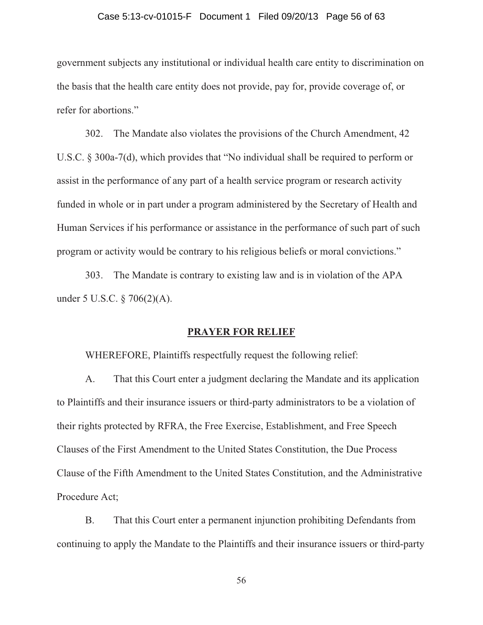## Case 5:13-cv-01015-F Document 1 Filed 09/20/13 Page 56 of 63

government subjects any institutional or individual health care entity to discrimination on the basis that the health care entity does not provide, pay for, provide coverage of, or refer for abortions."

302. The Mandate also violates the provisions of the Church Amendment, 42 U.S.C. § 300a-7(d), which provides that "No individual shall be required to perform or assist in the performance of any part of a health service program or research activity funded in whole or in part under a program administered by the Secretary of Health and Human Services if his performance or assistance in the performance of such part of such program or activity would be contrary to his religious beliefs or moral convictions."

303. The Mandate is contrary to existing law and is in violation of the APA under 5 U.S.C. § 706(2)(A).

#### **PRAYER FOR RELIEF**

WHEREFORE, Plaintiffs respectfully request the following relief:

A. That this Court enter a judgment declaring the Mandate and its application to Plaintiffs and their insurance issuers or third-party administrators to be a violation of their rights protected by RFRA, the Free Exercise, Establishment, and Free Speech Clauses of the First Amendment to the United States Constitution, the Due Process Clause of the Fifth Amendment to the United States Constitution, and the Administrative Procedure Act;

B. That this Court enter a permanent injunction prohibiting Defendants from continuing to apply the Mandate to the Plaintiffs and their insurance issuers or third-party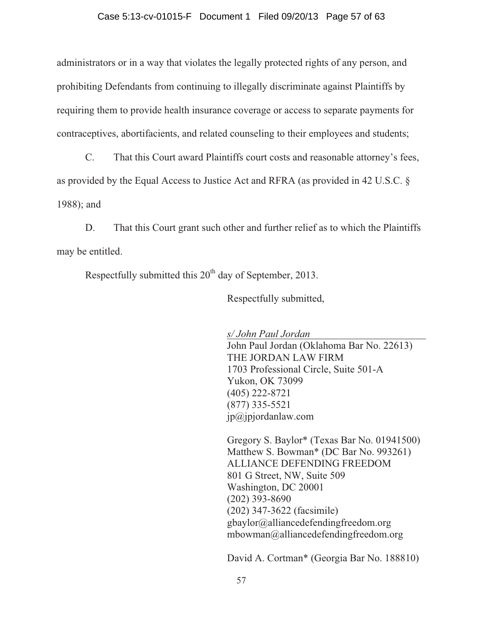#### Case 5:13-cv-01015-F Document 1 Filed 09/20/13 Page 57 of 63

administrators or in a way that violates the legally protected rights of any person, and prohibiting Defendants from continuing to illegally discriminate against Plaintiffs by requiring them to provide health insurance coverage or access to separate payments for contraceptives, abortifacients, and related counseling to their employees and students;

C. That this Court award Plaintiffs court costs and reasonable attorney's fees, as provided by the Equal Access to Justice Act and RFRA (as provided in 42 U.S.C. § 1988); and

D. That this Court grant such other and further relief as to which the Plaintiffs may be entitled.

Respectfully submitted this  $20<sup>th</sup>$  day of September, 2013.

Respectfully submitted,

*s/ John Paul Jordan*  John Paul Jordan (Oklahoma Bar No. 22613) THE JORDAN LAW FIRM 1703 Professional Circle, Suite 501-A Yukon, OK 73099 (405) 222-8721 (877) 335-5521  $ip@jpjordanlaw.com$ 

Gregory S. Baylor\* (Texas Bar No. 01941500) Matthew S. Bowman\* (DC Bar No. 993261) ALLIANCE DEFENDING FREEDOM 801 G Street, NW, Suite 509 Washington, DC 20001 (202) 393-8690 (202) 347-3622 (facsimile) gbaylor@alliancedefendingfreedom.org mbowman@alliancedefendingfreedom.org

David A. Cortman\* (Georgia Bar No. 188810)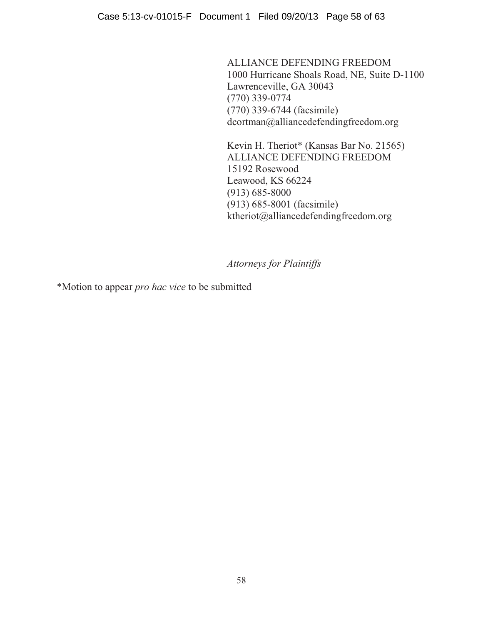Case 5:13-cv-01015-F Document 1 Filed 09/20/13 Page 58 of 63

ALLIANCE DEFENDING FREEDOM 1000 Hurricane Shoals Road, NE, Suite D-1100 Lawrenceville, GA 30043 (770) 339-0774 (770) 339-6744 (facsimile) dcortman@alliancedefendingfreedom.org

Kevin H. Theriot\* (Kansas Bar No. 21565) ALLIANCE DEFENDING FREEDOM 15192 Rosewood Leawood, KS 66224 (913) 685-8000 (913) 685-8001 (facsimile) ktheriot@alliancedefendingfreedom.org

*Attorneys for Plaintiffs* 

\*Motion to appear *pro hac vice* to be submitted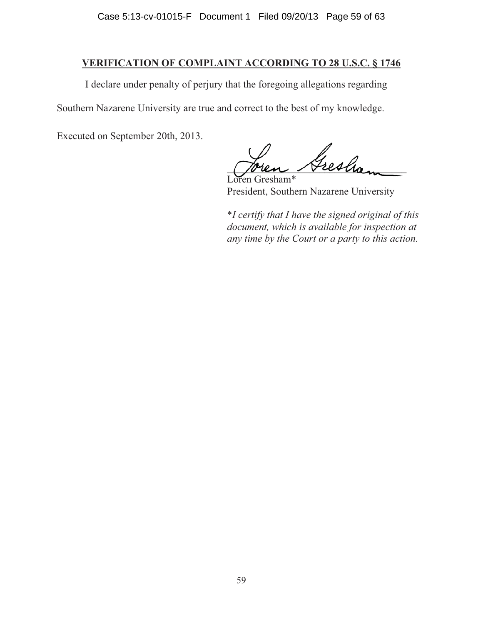## **VERIFICATION OF COMPLAINT ACCORDING TO 28 U.S.C. § 1746**

I declare under penalty of perjury that the foregoing allegations regarding

Southern Nazarene University are true and correct to the best of my knowledge.

Executed on September 20th, 2013.

Gresha

Loren Gresham\* President, Southern Nazarene University

\**I certify that I have the signed original of this document, which is available for inspection at any time by the Court or a party to this action.*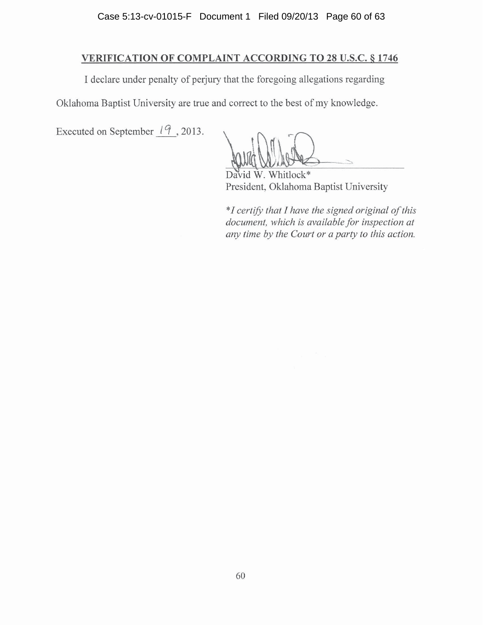## **VERIFICATION OF COMPLAINT ACCORDING TO 28 U.S.C. § 1746**

I declare under penalty of perjury that the foregoing allegations regarding

Oklahoma Baptist University are true and correct to the best of my knowledge.

Executed on September  $\frac{19}{2}$ , 2013.

hitlock\* Da **A** President, Oklahoma Baptist University

\*I certify that I have the signed original of this document, which is available for inspection at any time by the Court or a party to this action.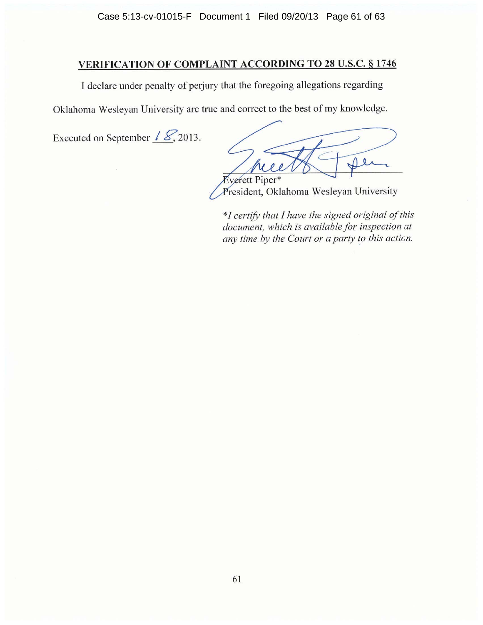Case 5:13-cv-01015-F Document 1 Filed 09/20/13 Page 61 of 63

## **VERIFICATION OF COMPLAINT ACCORDING TO 28 U.S.C. § 1746**

I declare under penalty of perjury that the foregoing allegations regarding

Oklahoma Wesleyan University are true and correct to the best of my knowledge.

Executed on September  $\angle \mathcal{L}$ , 2013.

 $\ddot{\mathbf{0}}$ **Everett Piper\*** 

President, Oklahoma Wesleyan University

\*I certify that I have the signed original of this document, which is available for inspection at any time by the Court or a party to this action.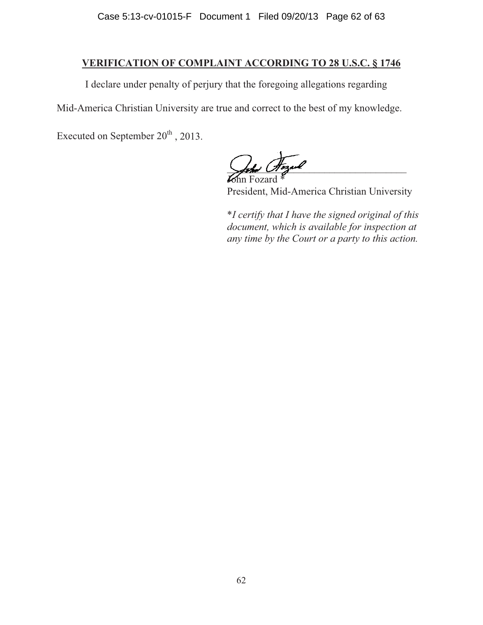## **VERIFICATION OF COMPLAINT ACCORDING TO 28 U.S.C. § 1746**

I declare under penalty of perjury that the foregoing allegations regarding

Mid-America Christian University are true and correct to the best of my knowledge.

Executed on September  $20<sup>th</sup>$ , 2013.

 $\frac{1}{\sqrt{2\pi}}$ 

John Fozard \* President, Mid-America Christian University

\**I certify that I have the signed original of this document, which is available for inspection at any time by the Court or a party to this action.*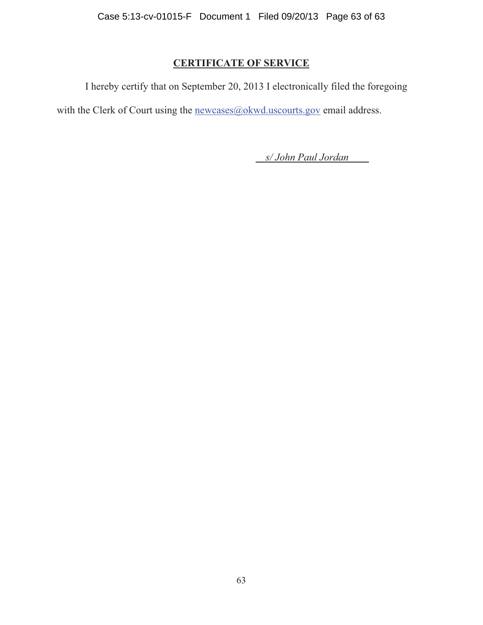## **CERTIFICATE OF SERVICE**

I hereby certify that on September 20, 2013 I electronically filed the foregoing with the Clerk of Court using the newcases@okwd.uscourts.gov email address.

*s/ John Paul Jordan*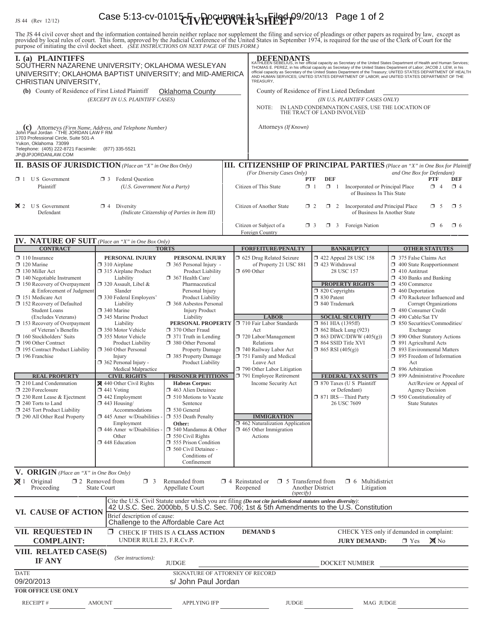# $\frac{1}{15.44}$  (Rev. 12/12) Case 5:13-cv-01015- $\times$ FVPC UOVER SHEEP 09/20/13 Page 1 of 2

The JS 44 civil cover sheet and the information contained herein neither replace nor supplement the filing and service of pleadings or other papers as required by law, except as provided by local rules of court. This form,

| I. (a) PLAINTIFFS<br>SOUTHERN NAZARENE UNIVERSITY; OKLAHOMA WESLEYAN<br>UNIVERSITY; OKLAHOMA BAPTIST UNIVERSITY; and MID-AMERICA<br>CHRISTIAN UNIVERSITY,                                                                                                                               |                                                                                                                                                                                                                                                                                                                                                                                                                                          |                                                                                                                                                                                                                                                               |                                                                          | <b>DEFENDANTS</b><br>KATHLEEN SEBELIUS, in her official capacity as Secretary of the United States Department of Health and Human Services;<br>THOMAS E. PEREZ, in his official capacity as Secretary of the United States Department of Labor; JACOB J. LEW, in his<br>official capacity as Secretary of the United States Department of the Treasury; UNITED STATES DEPARTMENT OF HEALTH<br>AND HUMAN SERVICES; UNITED STATES DEPARTMENT OF LABOR; and UNITED STATES DEPARTMENT OF THE<br>TREASURY, |                                                                                                                                                                      |                                                                 |                                                                                                                                                                                                                                                     |                       |          |
|-----------------------------------------------------------------------------------------------------------------------------------------------------------------------------------------------------------------------------------------------------------------------------------------|------------------------------------------------------------------------------------------------------------------------------------------------------------------------------------------------------------------------------------------------------------------------------------------------------------------------------------------------------------------------------------------------------------------------------------------|---------------------------------------------------------------------------------------------------------------------------------------------------------------------------------------------------------------------------------------------------------------|--------------------------------------------------------------------------|-------------------------------------------------------------------------------------------------------------------------------------------------------------------------------------------------------------------------------------------------------------------------------------------------------------------------------------------------------------------------------------------------------------------------------------------------------------------------------------------------------|----------------------------------------------------------------------------------------------------------------------------------------------------------------------|-----------------------------------------------------------------|-----------------------------------------------------------------------------------------------------------------------------------------------------------------------------------------------------------------------------------------------------|-----------------------|----------|
| (b) County of Residence of First Listed Plaintiff<br><b>Oklahoma County</b><br>(EXCEPT IN U.S. PLAINTIFF CASES)<br>(C) Attorneys (Firm Name, Address, and Telephone Number)<br>John Paul Jordan - THE JORDAN LAW F RM<br>1703 Professional Circle, Suite 501-A<br>Yukon, Oklahoma 73099 |                                                                                                                                                                                                                                                                                                                                                                                                                                          |                                                                                                                                                                                                                                                               |                                                                          | County of Residence of First Listed Defendant<br>(IN U.S. PLAINTIFF CASES ONLY)<br>IN LAND CONDEMNATION CASES, USE THE LOCATION OF<br>NOTE:<br>THE TRACT OF LAND INVOLVED<br>Attorneys (If Known)                                                                                                                                                                                                                                                                                                     |                                                                                                                                                                      |                                                                 |                                                                                                                                                                                                                                                     |                       |          |
|                                                                                                                                                                                                                                                                                         |                                                                                                                                                                                                                                                                                                                                                                                                                                          |                                                                                                                                                                                                                                                               |                                                                          |                                                                                                                                                                                                                                                                                                                                                                                                                                                                                                       |                                                                                                                                                                      |                                                                 |                                                                                                                                                                                                                                                     |                       |          |
| Telephone: (405) 222-8721 Facsimile:<br>JP@JPJORDANLAW.COM<br><b>II. BASIS OF JURISDICTION</b> (Place an "X" in One Box Only)                                                                                                                                                           | (877) 335-5521                                                                                                                                                                                                                                                                                                                                                                                                                           |                                                                                                                                                                                                                                                               |                                                                          | <b>III. CITIZENSHIP OF PRINCIPAL PARTIES</b> (Place an "X" in One Box for Plaintiff                                                                                                                                                                                                                                                                                                                                                                                                                   |                                                                                                                                                                      |                                                                 |                                                                                                                                                                                                                                                     |                       |          |
|                                                                                                                                                                                                                                                                                         |                                                                                                                                                                                                                                                                                                                                                                                                                                          |                                                                                                                                                                                                                                                               |                                                                          | (For Diversity Cases Only)                                                                                                                                                                                                                                                                                                                                                                                                                                                                            | <b>DEF</b>                                                                                                                                                           |                                                                 | and One Box for Defendant)                                                                                                                                                                                                                          |                       |          |
| $\Box$ 1 U S Government<br>Plaintiff                                                                                                                                                                                                                                                    | <b>3</b> Federal Question<br>(U.S. Government Not a Party)                                                                                                                                                                                                                                                                                                                                                                               |                                                                                                                                                                                                                                                               |                                                                          | <b>PTF</b><br>$\Box$ 1<br>Citizen of This State                                                                                                                                                                                                                                                                                                                                                                                                                                                       | Incorporated or Principal Place<br>of Business In This State                                                                                                         | <b>PTF</b><br><b>DEF</b><br>$\Box$ 4<br>$\Box$ 4                |                                                                                                                                                                                                                                                     |                       |          |
| $\boxtimes$ 2 U S Government<br>$\Box$ 4 Diversity<br>Defendant<br>(Indicate Citizenship of Parties in Item III)                                                                                                                                                                        |                                                                                                                                                                                                                                                                                                                                                                                                                                          |                                                                                                                                                                                                                                                               |                                                                          | Citizen of Another State<br>$\Box$ 2<br>$\Box$ 2<br>Incorporated and Principal Place<br>$\Box$ 5<br>$\square$ 5<br>of Business In Another State                                                                                                                                                                                                                                                                                                                                                       |                                                                                                                                                                      |                                                                 |                                                                                                                                                                                                                                                     |                       |          |
|                                                                                                                                                                                                                                                                                         |                                                                                                                                                                                                                                                                                                                                                                                                                                          |                                                                                                                                                                                                                                                               |                                                                          | Citizen or Subject of a<br>$\Box$ 3<br>Foreign Country                                                                                                                                                                                                                                                                                                                                                                                                                                                |                                                                                                                                                                      | $\Box$ 3 Foreign Nation                                         |                                                                                                                                                                                                                                                     | $\Box$ 6              | $\Box$ 6 |
| <b>IV. NATURE OF SUIT</b> (Place an "X" in One Box Only)<br><b>CONTRACT</b>                                                                                                                                                                                                             |                                                                                                                                                                                                                                                                                                                                                                                                                                          | <b>TORTS</b>                                                                                                                                                                                                                                                  |                                                                          | <b>FORFEITURE/PENALTY</b>                                                                                                                                                                                                                                                                                                                                                                                                                                                                             |                                                                                                                                                                      | <b>BANKRUPTCY</b>                                               |                                                                                                                                                                                                                                                     | <b>OTHER STATUTES</b> |          |
| $\Box$ 110 Insurance<br>$\Box$ 120 Marine<br>$\Box$ 130 Miller Act<br>$\Box$ 140 Negotiable Instrument<br>$\Box$ 150 Recovery of Overpayment<br>& Enforcement of Judgment<br>151 Medicare Act<br>152 Recovery of Defaulted<br><b>Student Loans</b>                                      | PERSONAL INJURY<br>$\Box$ 310 Airplane<br>315 Airplane Product<br>Liability<br>367 Health Care/<br>□ 320 Assault, Libel &<br>Slander<br>□ 330 Federal Employers'<br>Liability<br>340 Marine<br><b>Injury Product</b><br>345 Marine Product<br>Liability<br>Liability<br>□ 350 Motor Vehicle<br>370 Other Fraud<br>355 Motor Vehicle<br>Product Liability<br>360 Other Personal<br>Injury<br>362 Personal Injury -<br>Medical Malpractice | PERSONAL INJURY<br>$\Box$ 365 Personal Injury -<br>Product Liability<br>Pharmaceutical<br>Personal Injury<br>Product Liability<br><b>1368</b> Asbestos Personal                                                                                               | □ 625 Drug Related Seizure<br>of Property 21 USC 881<br>$\Box$ 690 Other |                                                                                                                                                                                                                                                                                                                                                                                                                                                                                                       | 158 152 152 152 422 Appeal 28 USC<br>$\Box$ 423 Withdrawal<br>28 USC 157<br><b>PROPERTY RIGHTS</b><br>$\Box$ 820 Copyrights<br>□ 830 Patent<br>□ 840 Trademark       |                                                                 | 375 False Claims Act<br>$\Box$ 400 State Reapportionment<br>$\Box$ 410 Antitrust<br>$\Box$ 430 Banks and Banking<br>$\Box$ 450 Commerce<br>$\Box$ 460 Deportation<br>1 470 Racketeer Influenced and<br>Corrupt Organizations<br>480 Consumer Credit |                       |          |
| (Excludes Veterans)<br>$\Box$ 153 Recovery of Overpayment<br>of Veteran's Benefits<br>$\Box$ 160 Stockholders' Suits<br>190 Other Contract<br>195 Contract Product Liability<br>$\Box$ 196 Franchise                                                                                    |                                                                                                                                                                                                                                                                                                                                                                                                                                          | PERSONAL PROPERTY   710 Fair Labor Standards<br>$\Box$ 371 Truth in Lending<br>380 Other Personal<br>Property Damage<br>□ 385 Property Damage<br>Product Liability                                                                                            |                                                                          | <b>LABOR</b><br>Act<br>720 Labor/Management<br>Relations<br>740 Railway Labor Act<br>751 Family and Medical<br>Leave Act<br>790 Other Labor Litigation                                                                                                                                                                                                                                                                                                                                                | <b>SOCIAL SECURITY</b><br>$\Box$ 861 HIA (1395ff)<br>$\Box$ 862 Black Lung (923)<br>$\Box$ 863 DIWC/DIWW (405(g))<br>□ 864 SSID Title XVI<br>$\Box$ 865 RSI (405(g)) |                                                                 | 490 Cable/Sat TV<br>50 Securities/Commodities/<br>Exchange<br>1 890 Other Statutory Actions<br>$\Box$ 891 Agricultural Acts<br>5 893 Environmental Matters<br>5 895 Freedom of Information<br>Act<br>$\Box$ 896 Arbitration                         |                       |          |
| <b>REAL PROPERTY</b>                                                                                                                                                                                                                                                                    | <b>CIVIL RIGHTS</b>                                                                                                                                                                                                                                                                                                                                                                                                                      | PRISONER PETITIONS                                                                                                                                                                                                                                            |                                                                          | 791 Employee Retirement                                                                                                                                                                                                                                                                                                                                                                                                                                                                               |                                                                                                                                                                      | <b>FEDERAL TAX SUITS</b>                                        | □ 899 Administrative Procedure                                                                                                                                                                                                                      |                       |          |
| $\Box$ 210 Land Condemnation<br>220 Foreclosure<br>$\Box$ 230 Rent Lease & Ejectment<br>$\Box$ 240 Torts to Land<br>245 Tort Product Liability<br>290 All Other Real Property                                                                                                           | $\boxtimes$ 440 Other Civil Rights<br>$\Box$ 441 Voting<br>$\Box$ 442 Employment<br>$\Box$ 443 Housing/<br>Accommodations<br>$\Box$ 445 Amer w/Disabilities -<br>Employment<br>$\Box$ 446 Amer w/Disabilities -<br>Other<br>448 Education                                                                                                                                                                                                | <b>Habeas Corpus:</b><br>$\Box$ 463 Alien Detainee<br>$\Box$ 510 Motions to Vacate<br>Sentence<br>530 General<br>$\Box$ 535 Death Penalty<br>Other:<br>$\Box$ 540 Mandamus & Other<br>$\Box$ 550 Civil Rights<br>555 Prison Condition<br>560 Civil Detainee - |                                                                          | Income Security Act<br><b>IMMIGRATION</b><br>$\Box$ 462 Naturalization Application<br>$\Box$ 465 Other Immigration<br>Actions                                                                                                                                                                                                                                                                                                                                                                         | $\Box$ 870 Taxes (U S Plaintiff<br>or Defendant)<br>□ 871 IRS-Third Party<br>26 USC 7609                                                                             |                                                                 | Act/Review or Appeal of<br>Agency Decision<br>$\Box$ 950 Constitutionality of<br>State Statutes                                                                                                                                                     |                       |          |
|                                                                                                                                                                                                                                                                                         |                                                                                                                                                                                                                                                                                                                                                                                                                                          | Conditions of<br>Confinement                                                                                                                                                                                                                                  |                                                                          |                                                                                                                                                                                                                                                                                                                                                                                                                                                                                                       |                                                                                                                                                                      |                                                                 |                                                                                                                                                                                                                                                     |                       |          |
| <b>V. ORIGIN</b> (Place an "X" in One Box Only)<br>$\boxtimes$ 1 Original<br>Proceeding                                                                                                                                                                                                 | $\square$ 2 Removed from<br>$\Box$ 3<br>State Court                                                                                                                                                                                                                                                                                                                                                                                      | Remanded from<br>Appellate Court                                                                                                                                                                                                                              |                                                                          | $\Box$ 4 Reinstated or<br><b>1</b> 5 Transferred from<br>Reopened<br>(specify)                                                                                                                                                                                                                                                                                                                                                                                                                        | Another District                                                                                                                                                     | $\Box$ 6 Multidistrict<br>Litigation                            |                                                                                                                                                                                                                                                     |                       |          |
| VI. CAUSE OF ACTION                                                                                                                                                                                                                                                                     | Brief description of cause:                                                                                                                                                                                                                                                                                                                                                                                                              | Challenge to the Affordable Care Act                                                                                                                                                                                                                          |                                                                          | Cite the U.S. Civil Statute under which you are filing (Do not cite jurisdictional statutes unless diversity):<br>42 U.S.C. Sec. 2000bb, 5 U.S.C. Sec. 706; 1st & 5th Amendments to the U.S. Constitution                                                                                                                                                                                                                                                                                             |                                                                                                                                                                      |                                                                 |                                                                                                                                                                                                                                                     |                       |          |
| VII. REQUESTED IN<br><b>COMPLAINT:</b>                                                                                                                                                                                                                                                  | UNDER RULE 23, F.R.Cv.P.                                                                                                                                                                                                                                                                                                                                                                                                                 | CHECK IF THIS IS A CLASS ACTION                                                                                                                                                                                                                               |                                                                          | <b>DEMAND \$</b>                                                                                                                                                                                                                                                                                                                                                                                                                                                                                      |                                                                                                                                                                      | CHECK YES only if demanded in complaint:<br><b>JURY DEMAND:</b> | $\Box$ Yes                                                                                                                                                                                                                                          | $M_{\text{No}}$       |          |
| VIII. RELATED CASE(S)<br><b>IF ANY</b>                                                                                                                                                                                                                                                  | (See instructions):                                                                                                                                                                                                                                                                                                                                                                                                                      | <b>JUDGE</b>                                                                                                                                                                                                                                                  |                                                                          |                                                                                                                                                                                                                                                                                                                                                                                                                                                                                                       | DOCKET NUMBER                                                                                                                                                        |                                                                 |                                                                                                                                                                                                                                                     |                       |          |
| <b>DATE</b><br>09/20/2013<br><b>FOR OFFICE USE ONLY</b>                                                                                                                                                                                                                                 |                                                                                                                                                                                                                                                                                                                                                                                                                                          | SIGNATURE OF ATTORNEY OF RECORD<br>s/ John Paul Jordan                                                                                                                                                                                                        |                                                                          |                                                                                                                                                                                                                                                                                                                                                                                                                                                                                                       |                                                                                                                                                                      |                                                                 |                                                                                                                                                                                                                                                     |                       |          |
| <b>RECEIPT#</b>                                                                                                                                                                                                                                                                         | <b>AMOUNT</b>                                                                                                                                                                                                                                                                                                                                                                                                                            | <b>APPLYING IFP</b>                                                                                                                                                                                                                                           |                                                                          | <b>JUDGE</b>                                                                                                                                                                                                                                                                                                                                                                                                                                                                                          |                                                                                                                                                                      | MAG JUDGE                                                       |                                                                                                                                                                                                                                                     |                       |          |